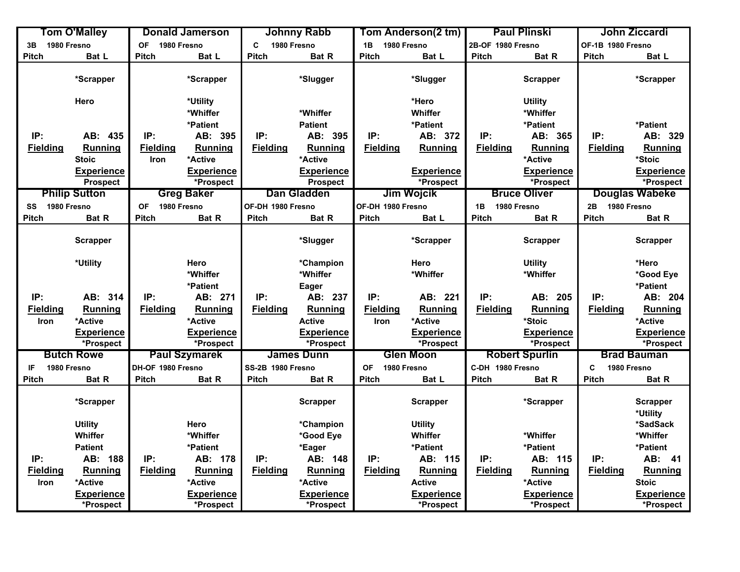|                   | Tom O'Malley         |                          | <b>Donald Jamerson</b> |                            | <b>Johnny Rabb</b> |                          | Tom Anderson(2 tm) |                   | <b>Paul Plinski</b>   |                   | John Ziccardi               |
|-------------------|----------------------|--------------------------|------------------------|----------------------------|--------------------|--------------------------|--------------------|-------------------|-----------------------|-------------------|-----------------------------|
| 1980 Fresno<br>3B |                      | <b>OF</b><br>1980 Fresno |                        | $\mathbf c$<br>1980 Fresno |                    | 1B 1980 Fresno           |                    | 2B-OF 1980 Fresno |                       | OF-1B 1980 Fresno |                             |
| <b>Pitch</b>      | Bat L                | <b>Pitch</b>             | Bat L                  | <b>Pitch</b>               | Bat R              | Pitch                    | Bat L              | <b>Pitch</b>      | Bat R                 | Pitch             | Bat L                       |
|                   | *Scrapper            |                          | *Scrapper              |                            | *Slugger           |                          | *Slugger           |                   | <b>Scrapper</b>       |                   | *Scrapper                   |
|                   | Hero                 |                          | *Utility               |                            |                    |                          | *Hero              |                   | <b>Utility</b>        |                   |                             |
|                   |                      |                          | *Whiffer               |                            | *Whiffer           |                          | Whiffer            |                   | *Whiffer              |                   |                             |
|                   |                      |                          | *Patient               |                            | <b>Patient</b>     |                          | *Patient           |                   | *Patient              |                   | *Patient                    |
| IP:               | AB: 435              | IP:                      | AB: 395                | IP:                        | AB: 395            | IP:                      | AB: 372            | IP:               | AB: 365               | IP:               | AB: 329                     |
| <b>Fielding</b>   | <b>Running</b>       | <b>Fielding</b>          | <b>Running</b>         | <b>Fielding</b>            | Running            | <b>Fielding</b>          | Running            | <b>Fielding</b>   | <b>Running</b>        | <b>Fielding</b>   | <b>Running</b>              |
|                   | <b>Stoic</b>         | Iron                     | *Active                |                            | *Active            |                          |                    |                   | *Active               |                   | *Stoic                      |
|                   | <b>Experience</b>    |                          | Experience             |                            | <b>Experience</b>  |                          | <b>Experience</b>  |                   | <b>Experience</b>     |                   | <b>Experience</b>           |
|                   | <b>Prospect</b>      |                          | *Prospect              |                            | <b>Prospect</b>    |                          | *Prospect          |                   | *Prospect             |                   | *Prospect                   |
|                   | <b>Philip Sutton</b> |                          | <b>Greg Baker</b>      |                            | Dan Gladden        |                          | Jim Wojcik         |                   | <b>Bruce Oliver</b>   |                   | <b>Douglas Wabeke</b>       |
| 1980 Fresno<br>SS |                      | <b>OF</b>                | 1980 Fresno            | OF-DH 1980 Fresno          |                    | OF-DH 1980 Fresno        |                    | 1980 Fresno<br>1B |                       | 2B 1980 Fresno    |                             |
| Pitch             | Bat R                | <b>Pitch</b>             | Bat R                  | <b>Pitch</b>               | Bat R              | Pitch                    | Bat L              | <b>Pitch</b>      | Bat R                 | <b>Pitch</b>      | Bat R                       |
|                   | <b>Scrapper</b>      |                          |                        |                            | *Slugger           |                          | *Scrapper          |                   | Scrapper              |                   | <b>Scrapper</b>             |
|                   | *Utility             |                          | Hero                   |                            | *Champion          |                          | Hero               |                   | <b>Utility</b>        |                   | *Hero                       |
|                   |                      |                          | *Whiffer               |                            | *Whiffer           |                          | *Whiffer           |                   | *Whiffer              |                   | *Good Eye                   |
|                   |                      |                          | *Patient               |                            | Eager              |                          |                    |                   |                       |                   | *Patient                    |
| IP:               | AB: 314              | IP:                      | AB: 271                | IP:                        | AB: 237            | IP:                      | AB: 221            | IP:               | AB: 205               | IP:               | AB: 204                     |
| <b>Fielding</b>   | <b>Running</b>       | <b>Fielding</b>          | <b>Running</b>         | <b>Fielding</b>            | Running            | <b>Fielding</b>          | <b>Running</b>     | <b>Fielding</b>   | Running               | <b>Fielding</b>   | <b>Running</b>              |
| Iron              | *Active              |                          | *Active                |                            | <b>Active</b>      | <b>Iron</b>              | *Active            |                   | *Stoic                |                   | *Active                     |
|                   | <b>Experience</b>    |                          | <b>Experience</b>      |                            | <b>Experience</b>  |                          | <b>Experience</b>  |                   | <b>Experience</b>     |                   | <b>Experience</b>           |
|                   | *Prospect            |                          | *Prospect              |                            | *Prospect          |                          | *Prospect          |                   | *Prospect             |                   | *Prospect                   |
|                   | <b>Butch Rowe</b>    |                          | <b>Paul Szymarek</b>   |                            | <b>James Dunn</b>  |                          | <b>Glen Moon</b>   |                   | <b>Robert Spurlin</b> |                   | <b>Brad Bauman</b>          |
| IF                | 1980 Fresno          | DH-OF 1980 Fresno        |                        | SS-2B 1980 Fresno          |                    | <b>OF</b><br>1980 Fresno |                    | C-DH 1980 Fresno  |                       | C<br>1980 Fresno  |                             |
| Pitch             | Bat R                | <b>Pitch</b>             | Bat R                  | <b>Pitch</b>               | Bat R              | <b>Pitch</b>             | Bat L              | <b>Pitch</b>      | Bat R                 | Pitch             | Bat R                       |
|                   |                      |                          |                        |                            |                    |                          |                    |                   |                       |                   |                             |
|                   | *Scrapper            |                          |                        |                            | <b>Scrapper</b>    |                          | <b>Scrapper</b>    |                   | *Scrapper             |                   | <b>Scrapper</b><br>*Utility |
|                   | <b>Utility</b>       |                          | Hero                   |                            | *Champion          |                          | <b>Utility</b>     |                   |                       |                   | *SadSack                    |
|                   | Whiffer              |                          | *Whiffer               |                            | *Good Eye          |                          | Whiffer            |                   | *Whiffer              |                   | *Whiffer                    |
|                   | <b>Patient</b>       |                          | *Patient               |                            | *Eager             |                          | *Patient           |                   | *Patient              |                   | *Patient                    |
| IP:               | AB: 188              | IP:                      | AB: 178                | IP:                        | AB: 148            | IP:                      | AB: 115            | IP:               | AB: 115               | IP:               | AB: 41                      |
| <b>Fielding</b>   | Running              | <b>Fielding</b>          | <b>Running</b>         | <b>Fielding</b>            | Running            | <b>Fielding</b>          | <b>Running</b>     | <b>Fielding</b>   | Running               | <b>Fielding</b>   | <b>Running</b>              |
| Iron              | *Active              |                          | *Active                |                            | *Active            |                          | <b>Active</b>      |                   | *Active               |                   | <b>Stoic</b>                |
|                   | <b>Experience</b>    |                          | <b>Experience</b>      |                            | <b>Experience</b>  |                          | <b>Experience</b>  |                   | <b>Experience</b>     |                   | <b>Experience</b>           |
|                   | *Prospect            |                          | *Prospect              |                            | *Prospect          |                          | *Prospect          |                   | *Prospect             |                   | *Prospect                   |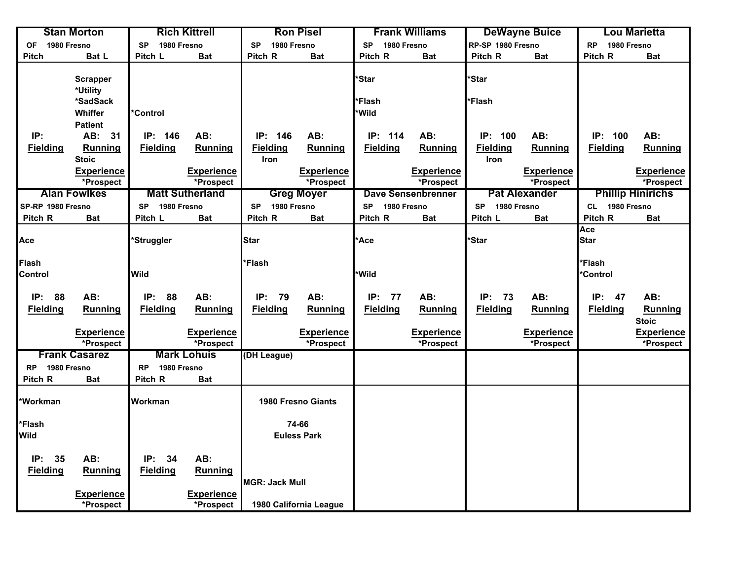|                          | <b>Stan Morton</b>          |                          | <b>Rich Kittrell</b>   |                          | <b>Ron Pisel</b>          |                          | <b>Frank Williams</b>     |                          | <b>DeWayne Buice</b> |                          | Lou Marietta             |
|--------------------------|-----------------------------|--------------------------|------------------------|--------------------------|---------------------------|--------------------------|---------------------------|--------------------------|----------------------|--------------------------|--------------------------|
| 1980 Fresno<br><b>OF</b> |                             | 1980 Fresno<br><b>SP</b> |                        | 1980 Fresno<br><b>SP</b> |                           | 1980 Fresno<br><b>SP</b> |                           | RP-SP 1980 Fresno        |                      | 1980 Fresno<br><b>RP</b> |                          |
| <b>Pitch</b>             | Bat L                       | Pitch L                  | <b>Bat</b>             | Pitch R                  | <b>Bat</b>                | Pitch R                  | <b>Bat</b>                | Pitch R                  | <b>Bat</b>           | Pitch R                  | <b>Bat</b>               |
|                          | <b>Scrapper</b><br>*Utility |                          |                        |                          |                           | *Star                    |                           | *Star                    |                      |                          |                          |
|                          | *SadSack                    |                          |                        |                          |                           | *Flash                   |                           | *Flash                   |                      |                          |                          |
|                          | Whiffer                     | *Control                 |                        |                          |                           | *Wild                    |                           |                          |                      |                          |                          |
|                          | <b>Patient</b>              |                          |                        |                          |                           |                          |                           |                          |                      |                          |                          |
| IP:                      | AB: 31                      | IP: 146                  | AB:                    | IP: 146                  | AB:                       | IP:<br>114               | AB:                       | IP: 100                  | AB:                  | IP: 100                  | AB:                      |
| <b>Fielding</b>          | <b>Running</b>              | <b>Fielding</b>          | Running                | <b>Fielding</b>          | Running                   | <b>Fielding</b>          | Running                   | <b>Fielding</b>          | <b>Running</b>       | <b>Fielding</b>          | Running                  |
|                          | <b>Stoic</b>                |                          |                        | Iron                     |                           |                          |                           | <b>Iron</b>              |                      |                          |                          |
|                          | Experience                  |                          | <b>Experience</b>      |                          | <b>Experience</b>         |                          | <b>Experience</b>         |                          | <b>Experience</b>    |                          | <b>Experience</b>        |
|                          | *Prospect                   |                          | *Prospect              |                          | *Prospect                 |                          | *Prospect                 |                          | *Prospect            |                          | *Prospect                |
|                          | <b>Alan Fowlkes</b>         |                          | <b>Matt Sutherland</b> |                          | <b>Greg Moyer</b>         |                          | <b>Dave Sensenbrenner</b> |                          | <b>Pat Alexander</b> |                          | <b>Phillip Hinirichs</b> |
| SP-RP 1980 Fresno        |                             | 1980 Fresno<br><b>SP</b> |                        | <b>SP</b><br>1980 Fresno |                           | 1980 Fresno<br><b>SP</b> |                           | 1980 Fresno<br><b>SP</b> |                      | CL 1980 Fresno           |                          |
| Pitch R                  | <b>Bat</b>                  | Pitch L                  | <b>Bat</b>             | Pitch R                  | <b>Bat</b>                | Pitch R                  | <b>Bat</b>                | Pitch L                  | <b>Bat</b>           | Pitch R                  | <b>Bat</b>               |
| Ace                      |                             | 'Struggler               |                        | Star                     |                           | <b>Ace</b>               |                           | *Star                    |                      | Ace<br><b>Star</b>       |                          |
| Flash                    |                             |                          |                        | *Flash                   |                           |                          |                           |                          |                      | *Flash                   |                          |
| Control                  |                             | Wild                     |                        |                          |                           | *Wild                    |                           |                          |                      | *Control                 |                          |
|                          |                             |                          |                        |                          |                           |                          |                           |                          |                      |                          |                          |
| IP: 88                   | AB:                         | IP:<br>88                | AB:                    | IP:<br>79                | AB:                       | IP:<br>77                | AB:                       | IP:<br>73                | AB:                  | IP:<br>47                | AB:                      |
| <b>Fielding</b>          | Running                     | <b>Fielding</b>          | Running                | <b>Fielding</b>          | <b>Running</b>            | <b>Fielding</b>          | Running                   | <b>Fielding</b>          | Running              | <b>Fielding</b>          | Running                  |
|                          |                             |                          |                        |                          |                           |                          |                           |                          |                      |                          | <b>Stoic</b>             |
|                          | <b>Experience</b>           |                          | <b>Experience</b>      |                          | <b>Experience</b>         |                          | <b>Experience</b>         |                          | <b>Experience</b>    |                          | <b>Experience</b>        |
|                          | *Prospect                   |                          | *Prospect              |                          | *Prospect                 |                          | *Prospect                 |                          | *Prospect            |                          | *Prospect                |
|                          | <b>Frank Casarez</b>        |                          | <b>Mark Lohuis</b>     | (DH League)              |                           |                          |                           |                          |                      |                          |                          |
| RP 1980 Fresno           |                             | 1980 Fresno<br><b>RP</b> |                        |                          |                           |                          |                           |                          |                      |                          |                          |
| Pitch R                  | <b>Bat</b>                  | Pitch R                  | <b>Bat</b>             |                          |                           |                          |                           |                          |                      |                          |                          |
| <b>Workman</b>           |                             | Workman                  |                        |                          | <b>1980 Fresno Giants</b> |                          |                           |                          |                      |                          |                          |
| <b>Flash</b>             |                             |                          |                        |                          | 74-66                     |                          |                           |                          |                      |                          |                          |
| Wild                     |                             |                          |                        |                          | <b>Euless Park</b>        |                          |                           |                          |                      |                          |                          |
|                          |                             |                          |                        |                          |                           |                          |                           |                          |                      |                          |                          |
| IP:<br>35                | AB:                         | IP:<br>34                | AB:                    |                          |                           |                          |                           |                          |                      |                          |                          |
| <b>Fielding</b>          | Running                     | <b>Fielding</b>          | Running                |                          |                           |                          |                           |                          |                      |                          |                          |
|                          |                             |                          |                        | <b>MGR: Jack Mull</b>    |                           |                          |                           |                          |                      |                          |                          |
|                          | <b>Experience</b>           |                          | <b>Experience</b>      |                          |                           |                          |                           |                          |                      |                          |                          |
|                          | *Prospect                   |                          | *Prospect              |                          | 1980 California League    |                          |                           |                          |                      |                          |                          |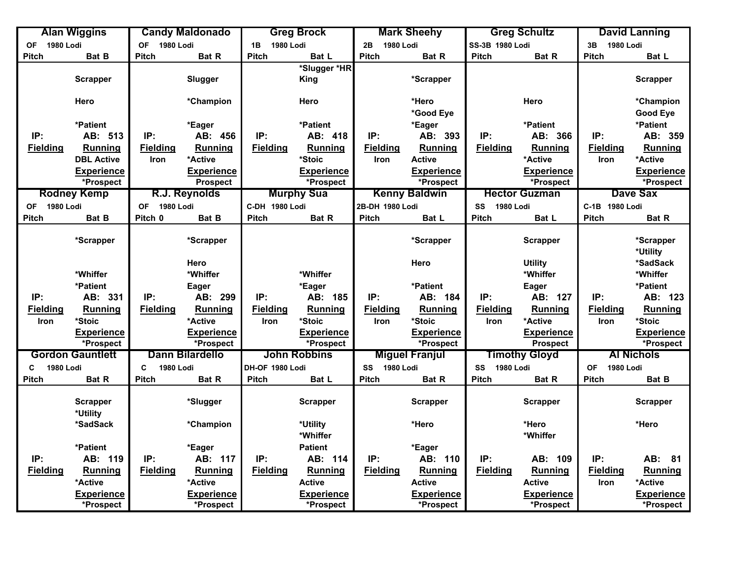| 1980 Lodi<br><b>1980 Lodi</b><br><b>OF</b><br><b>OF</b><br>1980 Lodi<br>1B 1980 Lodi<br>2B<br>SS-3B 1980 Lodi<br>3B<br>1980 Lodi<br><b>Pitch</b><br><b>Pitch</b><br><b>Pitch</b><br>Bat B<br><b>Pitch</b><br>Bat R<br><b>Pitch</b><br>Bat L<br>Bat R<br><b>Bat R</b><br><b>Pitch</b><br>Bat L<br>*Slugger *HR<br><b>Scrapper</b><br>Slugger<br><b>King</b><br>*Scrapper<br><b>Scrapper</b><br>*Hero<br>Hero<br>*Champion<br>Hero<br>Hero<br>*Champion<br>*Good Eye<br><b>Good Eye</b><br>*Patient<br>*Patient<br>*Patient<br>*Patient<br>*Eager<br>*Eager<br>IP:<br>IP:<br>IP:<br>IP:<br>IP:<br>AB: 393<br>IP:<br>AB: 366<br>AB: 359<br>AB: 513<br>AB: 456<br>AB: 418<br><b>Fielding</b><br><b>Fielding</b><br><b>Fielding</b><br><b>Fielding</b><br><b>Fielding</b><br>Running<br><b>Running</b><br>Running<br><b>Fielding</b><br>Running<br><b>Running</b><br><b>Running</b><br>*Active<br>*Active<br>*Active<br><b>DBL Active</b><br>*Stoic<br><b>Active</b><br>Iron<br>Iron<br>Iron<br><b>Experience</b><br><b>Experience</b><br><b>Experience</b><br><b>Experience</b><br><b>Experience</b><br><b>Prospect</b><br>*Prospect<br>*Prospect<br>*Prospect<br>*Prospect<br>*Prospect<br><b>Rodney Kemp</b><br>R.J. Reynolds<br><b>Murphy Sua</b><br><b>Dave Sax</b><br><b>Kenny Baldwin</b><br><b>Hector Guzman</b><br>OF 1980 Lodi<br>C-DH 1980 Lodi<br>OF 1980 Lodi<br>2B-DH 1980 Lodi<br><b>1980 Lodi</b><br>C-1B 1980 Lodi<br>SS<br><b>Pitch</b><br>Bat B<br>Pitch 0<br>Bat B<br><b>Bat R</b><br><b>Pitch</b><br><b>Pitch</b><br>Bat L<br><b>Pitch</b><br>Bat R<br><b>Pitch</b><br>Bat L<br>*Scrapper<br>*Scrapper<br>*Scrapper<br>*Scrapper<br>Scrapper<br>*Utility<br>*SadSack<br>Hero<br>Hero<br><b>Utility</b><br>*Whiffer<br>*Whiffer<br>*Whiffer<br>*Whiffer<br>*Whiffer<br>*Patient<br>*Patient<br>*Eager<br>*Patient<br>Eager<br>Eager<br>IP:<br>IP:<br>AB: 127<br>IP:<br>IP:<br>AB: 331<br>AB: 299<br>IP:<br>AB: 185<br>AB: 184<br>IP:<br>AB: 123<br>Running<br><b>Fielding</b><br>Running<br><b>Fielding</b><br>Running<br><b>Fielding</b><br>Running<br><b>Fielding</b><br>Running<br><b>Fielding</b><br><b>Fielding</b><br><b>Running</b><br>*Active<br>*Stoic<br>*Stoic<br>*Active<br>*Stoic<br>Iron<br>*Stoic<br>Iron<br><b>Iron</b><br><b>Iron</b><br>Iron<br><b>Experience</b><br><b>Experience</b><br><b>Experience</b><br><b>Experience</b><br><b>Experience</b><br><b>Experience</b><br>*Prospect<br>*Prospect<br>*Prospect<br>*Prospect<br><b>Prospect</b><br>*Prospect<br><b>Gordon Gauntlett</b><br><b>Dann Bilardello</b><br><b>John Robbins</b><br><b>Al Nichols</b><br><b>Miguel Franjul</b><br><b>Timothy Gloyd</b><br><b>1980 Lodi</b><br>1980 Lodi<br>1980 Lodi<br>DH-OF 1980 Lodi<br>SS<br>1980 Lodi<br>SS<br>1980 Lodi<br>C<br>C<br><b>OF</b> |              | <b>Alan Wiggins</b> | <b>Candy Maldonado</b> | <b>Greg Brock</b> | <b>Mark Sheehy</b> | <b>Greg Schultz</b> | <b>David Lanning</b> |
|---------------------------------------------------------------------------------------------------------------------------------------------------------------------------------------------------------------------------------------------------------------------------------------------------------------------------------------------------------------------------------------------------------------------------------------------------------------------------------------------------------------------------------------------------------------------------------------------------------------------------------------------------------------------------------------------------------------------------------------------------------------------------------------------------------------------------------------------------------------------------------------------------------------------------------------------------------------------------------------------------------------------------------------------------------------------------------------------------------------------------------------------------------------------------------------------------------------------------------------------------------------------------------------------------------------------------------------------------------------------------------------------------------------------------------------------------------------------------------------------------------------------------------------------------------------------------------------------------------------------------------------------------------------------------------------------------------------------------------------------------------------------------------------------------------------------------------------------------------------------------------------------------------------------------------------------------------------------------------------------------------------------------------------------------------------------------------------------------------------------------------------------------------------------------------------------------------------------------------------------------------------------------------------------------------------------------------------------------------------------------------------------------------------------------------------------------------------------------------------------------------------------------------------------------------------------------------------------------------------------------------------------------------------------------------------------------------------------------------------------------------------------------------|--------------|---------------------|------------------------|-------------------|--------------------|---------------------|----------------------|
|                                                                                                                                                                                                                                                                                                                                                                                                                                                                                                                                                                                                                                                                                                                                                                                                                                                                                                                                                                                                                                                                                                                                                                                                                                                                                                                                                                                                                                                                                                                                                                                                                                                                                                                                                                                                                                                                                                                                                                                                                                                                                                                                                                                                                                                                                                                                                                                                                                                                                                                                                                                                                                                                                                                                                                                 |              |                     |                        |                   |                    |                     |                      |
|                                                                                                                                                                                                                                                                                                                                                                                                                                                                                                                                                                                                                                                                                                                                                                                                                                                                                                                                                                                                                                                                                                                                                                                                                                                                                                                                                                                                                                                                                                                                                                                                                                                                                                                                                                                                                                                                                                                                                                                                                                                                                                                                                                                                                                                                                                                                                                                                                                                                                                                                                                                                                                                                                                                                                                                 |              |                     |                        |                   |                    |                     |                      |
|                                                                                                                                                                                                                                                                                                                                                                                                                                                                                                                                                                                                                                                                                                                                                                                                                                                                                                                                                                                                                                                                                                                                                                                                                                                                                                                                                                                                                                                                                                                                                                                                                                                                                                                                                                                                                                                                                                                                                                                                                                                                                                                                                                                                                                                                                                                                                                                                                                                                                                                                                                                                                                                                                                                                                                                 |              |                     |                        |                   |                    |                     |                      |
|                                                                                                                                                                                                                                                                                                                                                                                                                                                                                                                                                                                                                                                                                                                                                                                                                                                                                                                                                                                                                                                                                                                                                                                                                                                                                                                                                                                                                                                                                                                                                                                                                                                                                                                                                                                                                                                                                                                                                                                                                                                                                                                                                                                                                                                                                                                                                                                                                                                                                                                                                                                                                                                                                                                                                                                 |              |                     |                        |                   |                    |                     |                      |
|                                                                                                                                                                                                                                                                                                                                                                                                                                                                                                                                                                                                                                                                                                                                                                                                                                                                                                                                                                                                                                                                                                                                                                                                                                                                                                                                                                                                                                                                                                                                                                                                                                                                                                                                                                                                                                                                                                                                                                                                                                                                                                                                                                                                                                                                                                                                                                                                                                                                                                                                                                                                                                                                                                                                                                                 |              |                     |                        |                   |                    |                     |                      |
|                                                                                                                                                                                                                                                                                                                                                                                                                                                                                                                                                                                                                                                                                                                                                                                                                                                                                                                                                                                                                                                                                                                                                                                                                                                                                                                                                                                                                                                                                                                                                                                                                                                                                                                                                                                                                                                                                                                                                                                                                                                                                                                                                                                                                                                                                                                                                                                                                                                                                                                                                                                                                                                                                                                                                                                 |              |                     |                        |                   |                    |                     |                      |
|                                                                                                                                                                                                                                                                                                                                                                                                                                                                                                                                                                                                                                                                                                                                                                                                                                                                                                                                                                                                                                                                                                                                                                                                                                                                                                                                                                                                                                                                                                                                                                                                                                                                                                                                                                                                                                                                                                                                                                                                                                                                                                                                                                                                                                                                                                                                                                                                                                                                                                                                                                                                                                                                                                                                                                                 |              |                     |                        |                   |                    |                     |                      |
|                                                                                                                                                                                                                                                                                                                                                                                                                                                                                                                                                                                                                                                                                                                                                                                                                                                                                                                                                                                                                                                                                                                                                                                                                                                                                                                                                                                                                                                                                                                                                                                                                                                                                                                                                                                                                                                                                                                                                                                                                                                                                                                                                                                                                                                                                                                                                                                                                                                                                                                                                                                                                                                                                                                                                                                 |              |                     |                        |                   |                    |                     |                      |
|                                                                                                                                                                                                                                                                                                                                                                                                                                                                                                                                                                                                                                                                                                                                                                                                                                                                                                                                                                                                                                                                                                                                                                                                                                                                                                                                                                                                                                                                                                                                                                                                                                                                                                                                                                                                                                                                                                                                                                                                                                                                                                                                                                                                                                                                                                                                                                                                                                                                                                                                                                                                                                                                                                                                                                                 |              |                     |                        |                   |                    |                     |                      |
|                                                                                                                                                                                                                                                                                                                                                                                                                                                                                                                                                                                                                                                                                                                                                                                                                                                                                                                                                                                                                                                                                                                                                                                                                                                                                                                                                                                                                                                                                                                                                                                                                                                                                                                                                                                                                                                                                                                                                                                                                                                                                                                                                                                                                                                                                                                                                                                                                                                                                                                                                                                                                                                                                                                                                                                 |              |                     |                        |                   |                    |                     |                      |
|                                                                                                                                                                                                                                                                                                                                                                                                                                                                                                                                                                                                                                                                                                                                                                                                                                                                                                                                                                                                                                                                                                                                                                                                                                                                                                                                                                                                                                                                                                                                                                                                                                                                                                                                                                                                                                                                                                                                                                                                                                                                                                                                                                                                                                                                                                                                                                                                                                                                                                                                                                                                                                                                                                                                                                                 |              |                     |                        |                   |                    |                     |                      |
|                                                                                                                                                                                                                                                                                                                                                                                                                                                                                                                                                                                                                                                                                                                                                                                                                                                                                                                                                                                                                                                                                                                                                                                                                                                                                                                                                                                                                                                                                                                                                                                                                                                                                                                                                                                                                                                                                                                                                                                                                                                                                                                                                                                                                                                                                                                                                                                                                                                                                                                                                                                                                                                                                                                                                                                 |              |                     |                        |                   |                    |                     | <b>Experience</b>    |
|                                                                                                                                                                                                                                                                                                                                                                                                                                                                                                                                                                                                                                                                                                                                                                                                                                                                                                                                                                                                                                                                                                                                                                                                                                                                                                                                                                                                                                                                                                                                                                                                                                                                                                                                                                                                                                                                                                                                                                                                                                                                                                                                                                                                                                                                                                                                                                                                                                                                                                                                                                                                                                                                                                                                                                                 |              |                     |                        |                   |                    |                     |                      |
|                                                                                                                                                                                                                                                                                                                                                                                                                                                                                                                                                                                                                                                                                                                                                                                                                                                                                                                                                                                                                                                                                                                                                                                                                                                                                                                                                                                                                                                                                                                                                                                                                                                                                                                                                                                                                                                                                                                                                                                                                                                                                                                                                                                                                                                                                                                                                                                                                                                                                                                                                                                                                                                                                                                                                                                 |              |                     |                        |                   |                    |                     |                      |
|                                                                                                                                                                                                                                                                                                                                                                                                                                                                                                                                                                                                                                                                                                                                                                                                                                                                                                                                                                                                                                                                                                                                                                                                                                                                                                                                                                                                                                                                                                                                                                                                                                                                                                                                                                                                                                                                                                                                                                                                                                                                                                                                                                                                                                                                                                                                                                                                                                                                                                                                                                                                                                                                                                                                                                                 |              |                     |                        |                   |                    |                     |                      |
|                                                                                                                                                                                                                                                                                                                                                                                                                                                                                                                                                                                                                                                                                                                                                                                                                                                                                                                                                                                                                                                                                                                                                                                                                                                                                                                                                                                                                                                                                                                                                                                                                                                                                                                                                                                                                                                                                                                                                                                                                                                                                                                                                                                                                                                                                                                                                                                                                                                                                                                                                                                                                                                                                                                                                                                 |              |                     |                        |                   |                    |                     |                      |
|                                                                                                                                                                                                                                                                                                                                                                                                                                                                                                                                                                                                                                                                                                                                                                                                                                                                                                                                                                                                                                                                                                                                                                                                                                                                                                                                                                                                                                                                                                                                                                                                                                                                                                                                                                                                                                                                                                                                                                                                                                                                                                                                                                                                                                                                                                                                                                                                                                                                                                                                                                                                                                                                                                                                                                                 |              |                     |                        |                   |                    |                     |                      |
|                                                                                                                                                                                                                                                                                                                                                                                                                                                                                                                                                                                                                                                                                                                                                                                                                                                                                                                                                                                                                                                                                                                                                                                                                                                                                                                                                                                                                                                                                                                                                                                                                                                                                                                                                                                                                                                                                                                                                                                                                                                                                                                                                                                                                                                                                                                                                                                                                                                                                                                                                                                                                                                                                                                                                                                 |              |                     |                        |                   |                    |                     |                      |
|                                                                                                                                                                                                                                                                                                                                                                                                                                                                                                                                                                                                                                                                                                                                                                                                                                                                                                                                                                                                                                                                                                                                                                                                                                                                                                                                                                                                                                                                                                                                                                                                                                                                                                                                                                                                                                                                                                                                                                                                                                                                                                                                                                                                                                                                                                                                                                                                                                                                                                                                                                                                                                                                                                                                                                                 |              |                     |                        |                   |                    |                     |                      |
|                                                                                                                                                                                                                                                                                                                                                                                                                                                                                                                                                                                                                                                                                                                                                                                                                                                                                                                                                                                                                                                                                                                                                                                                                                                                                                                                                                                                                                                                                                                                                                                                                                                                                                                                                                                                                                                                                                                                                                                                                                                                                                                                                                                                                                                                                                                                                                                                                                                                                                                                                                                                                                                                                                                                                                                 |              |                     |                        |                   |                    |                     |                      |
|                                                                                                                                                                                                                                                                                                                                                                                                                                                                                                                                                                                                                                                                                                                                                                                                                                                                                                                                                                                                                                                                                                                                                                                                                                                                                                                                                                                                                                                                                                                                                                                                                                                                                                                                                                                                                                                                                                                                                                                                                                                                                                                                                                                                                                                                                                                                                                                                                                                                                                                                                                                                                                                                                                                                                                                 |              |                     |                        |                   |                    |                     |                      |
|                                                                                                                                                                                                                                                                                                                                                                                                                                                                                                                                                                                                                                                                                                                                                                                                                                                                                                                                                                                                                                                                                                                                                                                                                                                                                                                                                                                                                                                                                                                                                                                                                                                                                                                                                                                                                                                                                                                                                                                                                                                                                                                                                                                                                                                                                                                                                                                                                                                                                                                                                                                                                                                                                                                                                                                 |              |                     |                        |                   |                    |                     |                      |
|                                                                                                                                                                                                                                                                                                                                                                                                                                                                                                                                                                                                                                                                                                                                                                                                                                                                                                                                                                                                                                                                                                                                                                                                                                                                                                                                                                                                                                                                                                                                                                                                                                                                                                                                                                                                                                                                                                                                                                                                                                                                                                                                                                                                                                                                                                                                                                                                                                                                                                                                                                                                                                                                                                                                                                                 |              |                     |                        |                   |                    |                     |                      |
|                                                                                                                                                                                                                                                                                                                                                                                                                                                                                                                                                                                                                                                                                                                                                                                                                                                                                                                                                                                                                                                                                                                                                                                                                                                                                                                                                                                                                                                                                                                                                                                                                                                                                                                                                                                                                                                                                                                                                                                                                                                                                                                                                                                                                                                                                                                                                                                                                                                                                                                                                                                                                                                                                                                                                                                 |              |                     |                        |                   |                    |                     |                      |
|                                                                                                                                                                                                                                                                                                                                                                                                                                                                                                                                                                                                                                                                                                                                                                                                                                                                                                                                                                                                                                                                                                                                                                                                                                                                                                                                                                                                                                                                                                                                                                                                                                                                                                                                                                                                                                                                                                                                                                                                                                                                                                                                                                                                                                                                                                                                                                                                                                                                                                                                                                                                                                                                                                                                                                                 |              |                     |                        |                   |                    |                     |                      |
|                                                                                                                                                                                                                                                                                                                                                                                                                                                                                                                                                                                                                                                                                                                                                                                                                                                                                                                                                                                                                                                                                                                                                                                                                                                                                                                                                                                                                                                                                                                                                                                                                                                                                                                                                                                                                                                                                                                                                                                                                                                                                                                                                                                                                                                                                                                                                                                                                                                                                                                                                                                                                                                                                                                                                                                 |              |                     |                        |                   |                    |                     |                      |
|                                                                                                                                                                                                                                                                                                                                                                                                                                                                                                                                                                                                                                                                                                                                                                                                                                                                                                                                                                                                                                                                                                                                                                                                                                                                                                                                                                                                                                                                                                                                                                                                                                                                                                                                                                                                                                                                                                                                                                                                                                                                                                                                                                                                                                                                                                                                                                                                                                                                                                                                                                                                                                                                                                                                                                                 |              |                     |                        |                   |                    |                     |                      |
|                                                                                                                                                                                                                                                                                                                                                                                                                                                                                                                                                                                                                                                                                                                                                                                                                                                                                                                                                                                                                                                                                                                                                                                                                                                                                                                                                                                                                                                                                                                                                                                                                                                                                                                                                                                                                                                                                                                                                                                                                                                                                                                                                                                                                                                                                                                                                                                                                                                                                                                                                                                                                                                                                                                                                                                 |              |                     |                        |                   |                    |                     |                      |
|                                                                                                                                                                                                                                                                                                                                                                                                                                                                                                                                                                                                                                                                                                                                                                                                                                                                                                                                                                                                                                                                                                                                                                                                                                                                                                                                                                                                                                                                                                                                                                                                                                                                                                                                                                                                                                                                                                                                                                                                                                                                                                                                                                                                                                                                                                                                                                                                                                                                                                                                                                                                                                                                                                                                                                                 | <b>Pitch</b> |                     |                        |                   |                    |                     |                      |
| Bat R<br><b>Pitch</b><br>Bat R<br><b>Pitch</b><br>Bat L<br><b>Pitch</b><br>Bat R<br><b>Pitch</b><br>Bat R<br><b>Pitch</b><br>Bat B                                                                                                                                                                                                                                                                                                                                                                                                                                                                                                                                                                                                                                                                                                                                                                                                                                                                                                                                                                                                                                                                                                                                                                                                                                                                                                                                                                                                                                                                                                                                                                                                                                                                                                                                                                                                                                                                                                                                                                                                                                                                                                                                                                                                                                                                                                                                                                                                                                                                                                                                                                                                                                              |              |                     |                        |                   |                    |                     |                      |
| <b>Scrapper</b><br>*Slugger<br><b>Scrapper</b><br><b>Scrapper</b><br><b>Scrapper</b>                                                                                                                                                                                                                                                                                                                                                                                                                                                                                                                                                                                                                                                                                                                                                                                                                                                                                                                                                                                                                                                                                                                                                                                                                                                                                                                                                                                                                                                                                                                                                                                                                                                                                                                                                                                                                                                                                                                                                                                                                                                                                                                                                                                                                                                                                                                                                                                                                                                                                                                                                                                                                                                                                            |              |                     |                        |                   |                    |                     |                      |
| <b>Scrapper</b><br>*Utility                                                                                                                                                                                                                                                                                                                                                                                                                                                                                                                                                                                                                                                                                                                                                                                                                                                                                                                                                                                                                                                                                                                                                                                                                                                                                                                                                                                                                                                                                                                                                                                                                                                                                                                                                                                                                                                                                                                                                                                                                                                                                                                                                                                                                                                                                                                                                                                                                                                                                                                                                                                                                                                                                                                                                     |              |                     |                        |                   |                    |                     |                      |
| *SadSack<br>*Hero<br>*Hero<br>*Hero<br>*Champion<br>*Utility                                                                                                                                                                                                                                                                                                                                                                                                                                                                                                                                                                                                                                                                                                                                                                                                                                                                                                                                                                                                                                                                                                                                                                                                                                                                                                                                                                                                                                                                                                                                                                                                                                                                                                                                                                                                                                                                                                                                                                                                                                                                                                                                                                                                                                                                                                                                                                                                                                                                                                                                                                                                                                                                                                                    |              |                     |                        |                   |                    |                     |                      |
| *Whiffer<br>*Whiffer                                                                                                                                                                                                                                                                                                                                                                                                                                                                                                                                                                                                                                                                                                                                                                                                                                                                                                                                                                                                                                                                                                                                                                                                                                                                                                                                                                                                                                                                                                                                                                                                                                                                                                                                                                                                                                                                                                                                                                                                                                                                                                                                                                                                                                                                                                                                                                                                                                                                                                                                                                                                                                                                                                                                                            |              |                     |                        |                   |                    |                     |                      |
| *Patient<br>*Eager<br><b>Patient</b><br>*Eager                                                                                                                                                                                                                                                                                                                                                                                                                                                                                                                                                                                                                                                                                                                                                                                                                                                                                                                                                                                                                                                                                                                                                                                                                                                                                                                                                                                                                                                                                                                                                                                                                                                                                                                                                                                                                                                                                                                                                                                                                                                                                                                                                                                                                                                                                                                                                                                                                                                                                                                                                                                                                                                                                                                                  |              |                     |                        |                   |                    |                     |                      |
| IP:<br>IP:<br>AB: 117<br>IP:<br>AB: 110<br>IP:<br>IP:<br>AB:<br>AB: 119<br>IP:<br>AB: 114<br>AB: 109                                                                                                                                                                                                                                                                                                                                                                                                                                                                                                                                                                                                                                                                                                                                                                                                                                                                                                                                                                                                                                                                                                                                                                                                                                                                                                                                                                                                                                                                                                                                                                                                                                                                                                                                                                                                                                                                                                                                                                                                                                                                                                                                                                                                                                                                                                                                                                                                                                                                                                                                                                                                                                                                            |              |                     |                        |                   |                    |                     | 81                   |
| <b>Fielding</b><br>Running<br><b>Fielding</b><br>Running<br><b>Fielding</b><br><b>Running</b><br><b>Fielding</b><br>Running<br><b>Fielding</b><br><b>Running</b><br><b>Fielding</b>                                                                                                                                                                                                                                                                                                                                                                                                                                                                                                                                                                                                                                                                                                                                                                                                                                                                                                                                                                                                                                                                                                                                                                                                                                                                                                                                                                                                                                                                                                                                                                                                                                                                                                                                                                                                                                                                                                                                                                                                                                                                                                                                                                                                                                                                                                                                                                                                                                                                                                                                                                                             |              |                     |                        |                   |                    |                     | <b>Running</b>       |
| <b>Active</b><br><b>Active</b><br>*Active<br>*Active<br>*Active<br><b>Active</b><br>Iron                                                                                                                                                                                                                                                                                                                                                                                                                                                                                                                                                                                                                                                                                                                                                                                                                                                                                                                                                                                                                                                                                                                                                                                                                                                                                                                                                                                                                                                                                                                                                                                                                                                                                                                                                                                                                                                                                                                                                                                                                                                                                                                                                                                                                                                                                                                                                                                                                                                                                                                                                                                                                                                                                        |              |                     |                        |                   |                    |                     |                      |
| <b>Experience</b><br><b>Experience</b><br><b>Experience</b><br><b>Experience</b><br><b>Experience</b>                                                                                                                                                                                                                                                                                                                                                                                                                                                                                                                                                                                                                                                                                                                                                                                                                                                                                                                                                                                                                                                                                                                                                                                                                                                                                                                                                                                                                                                                                                                                                                                                                                                                                                                                                                                                                                                                                                                                                                                                                                                                                                                                                                                                                                                                                                                                                                                                                                                                                                                                                                                                                                                                           |              |                     |                        |                   |                    |                     | <b>Experience</b>    |
| *Prospect<br>*Prospect<br>*Prospect<br>*Prospect<br>*Prospect                                                                                                                                                                                                                                                                                                                                                                                                                                                                                                                                                                                                                                                                                                                                                                                                                                                                                                                                                                                                                                                                                                                                                                                                                                                                                                                                                                                                                                                                                                                                                                                                                                                                                                                                                                                                                                                                                                                                                                                                                                                                                                                                                                                                                                                                                                                                                                                                                                                                                                                                                                                                                                                                                                                   |              |                     |                        |                   |                    |                     | *Prospect            |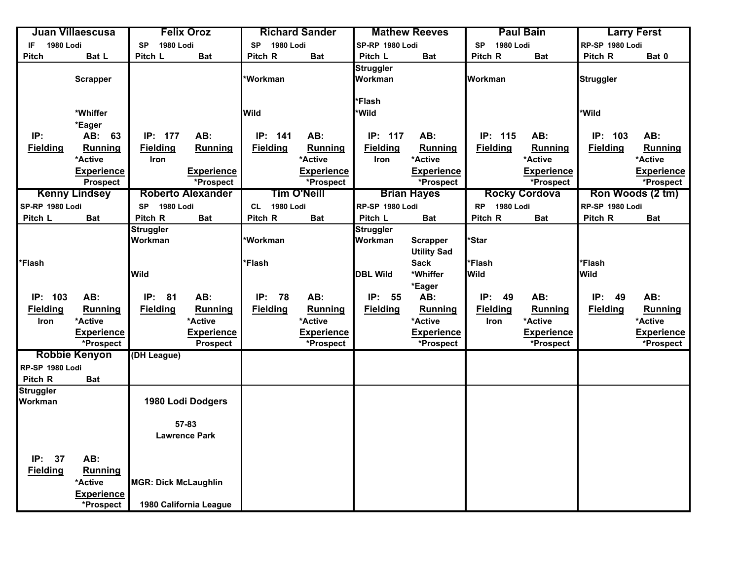|                         | Juan Villaescusa                        |                               | <b>Felix Oroz</b>        |                               | <b>Richard Sander</b> |                             | <b>Mathew Reeves</b> |                               | <b>Paul Bain</b>     |                  | <b>Larry Ferst</b> |
|-------------------------|-----------------------------------------|-------------------------------|--------------------------|-------------------------------|-----------------------|-----------------------------|----------------------|-------------------------------|----------------------|------------------|--------------------|
| <b>1980 Lodi</b><br>IF. |                                         | <b>1980 Lodi</b><br><b>SP</b> |                          | <b>1980 Lodi</b><br><b>SP</b> |                       | SP-RP 1980 Lodi             |                      | <b>1980 Lodi</b><br><b>SP</b> |                      | RP-SP 1980 Lodi  |                    |
| <b>Pitch</b>            | Bat L                                   | Pitch L                       | <b>Bat</b>               | Pitch R                       | <b>Bat</b>            | Pitch L                     | <b>Bat</b>           | Pitch R                       | <b>Bat</b>           | Pitch R          | Bat 0              |
|                         | <b>Scrapper</b>                         |                               |                          | *Workman                      |                       | <b>Struggler</b><br>Workman |                      | Workman                       |                      | <b>Struggler</b> |                    |
|                         |                                         |                               |                          |                               |                       | *Flash                      |                      |                               |                      |                  |                    |
|                         | *Whiffer                                |                               |                          | Wild                          |                       | *Wild                       |                      |                               |                      | *Wild            |                    |
|                         | *Eager                                  |                               |                          |                               |                       |                             |                      |                               |                      |                  |                    |
| IP:                     | AB: 63                                  | IP: 177                       | AB:                      | IP:<br>141                    | AB:                   | IP: 117                     | AB:                  | IP: 115                       | AB:                  | IP: 103          | AB:                |
| <b>Fielding</b>         | Running                                 | <b>Fielding</b>               | Running                  | Fielding                      | Running               | <b>Fielding</b>             | Running              | <b>Fielding</b>               | Running              | <b>Fielding</b>  | Running            |
|                         | *Active                                 | <b>Iron</b>                   |                          |                               | *Active               | Iron                        | *Active              |                               | *Active              |                  | *Active            |
|                         | <b>Experience</b>                       |                               | <b>Experience</b>        |                               | <b>Experience</b>     |                             | <b>Experience</b>    |                               | <b>Experience</b>    |                  | <b>Experience</b>  |
|                         | <b>Prospect</b>                         |                               | *Prospect                |                               | *Prospect             |                             | *Prospect            |                               | *Prospect            |                  | *Prospect          |
|                         | <b>Kenny Lindsey</b>                    |                               | <b>Roberto Alexander</b> |                               | <b>Tim O'Neill</b>    |                             | <b>Brian Hayes</b>   |                               | <b>Rocky Cordova</b> |                  | Ron Woods (2 tm)   |
| SP-RP 1980 Lodi         |                                         | <b>SP</b><br>1980 Lodi        |                          | 1980 Lodi<br>CL               |                       | RP-SP 1980 Lodi             |                      | <b>RP</b> 1980 Lodi           |                      | RP-SP 1980 Lodi  |                    |
| Pitch L                 | <b>Bat</b>                              | Pitch R                       | <b>Bat</b>               | Pitch R                       | <b>Bat</b>            | Pitch L                     | <b>Bat</b>           | Pitch R                       | <b>Bat</b>           | Pitch R          | <b>Bat</b>         |
|                         |                                         | <b>Struggler</b>              |                          |                               |                       | <b>Struggler</b>            |                      |                               |                      |                  |                    |
|                         |                                         | Workman                       |                          | *Workman                      |                       | Workman                     | <b>Scrapper</b>      | *Star                         |                      |                  |                    |
|                         |                                         |                               |                          |                               |                       |                             | <b>Utility Sad</b>   |                               |                      |                  |                    |
| *Flash                  |                                         |                               |                          | *Flash                        |                       |                             | <b>Sack</b>          | *Flash                        |                      | *Flash           |                    |
|                         |                                         | <b>Wild</b>                   |                          |                               |                       | <b>DBL Wild</b>             | *Whiffer             | <b>Wild</b>                   |                      | <b>Wild</b>      |                    |
|                         |                                         |                               |                          |                               |                       |                             | *Eager               |                               |                      |                  |                    |
| IP: 103                 | AB:                                     | IP: 81                        | AB:                      | IP:<br>78                     | AB:                   | IP:<br>- 55                 | AB:                  | IP:<br>49                     | AB:                  | IP:<br>49        | AB:                |
| <b>Fielding</b>         | <b>Running</b>                          | <b>Fielding</b>               | <b>Running</b>           | <b>Fielding</b>               | Running               | <b>Fielding</b>             | Running              | <b>Fielding</b>               | Running              | <b>Fielding</b>  | <b>Running</b>     |
| Iron                    | *Active                                 |                               | *Active                  |                               | *Active               |                             | *Active              | Iron                          | *Active              |                  | *Active            |
|                         | <b>Experience</b>                       |                               | <b>Experience</b>        |                               | <b>Experience</b>     |                             | <b>Experience</b>    |                               | <b>Experience</b>    |                  | <b>Experience</b>  |
|                         | *Prospect                               |                               | <b>Prospect</b>          |                               | *Prospect             |                             | *Prospect            |                               | *Prospect            |                  | *Prospect          |
|                         | <b>Robbie Kenyon</b>                    | (DH League)                   |                          |                               |                       |                             |                      |                               |                      |                  |                    |
| RP-SP 1980 Lodi         |                                         |                               |                          |                               |                       |                             |                      |                               |                      |                  |                    |
| Pitch R                 | Bat                                     |                               |                          |                               |                       |                             |                      |                               |                      |                  |                    |
| <b>Struggler</b>        |                                         |                               |                          |                               |                       |                             |                      |                               |                      |                  |                    |
| Workman                 |                                         |                               | 1980 Lodi Dodgers        |                               |                       |                             |                      |                               |                      |                  |                    |
|                         |                                         |                               |                          |                               |                       |                             |                      |                               |                      |                  |                    |
|                         |                                         |                               | 57-83                    |                               |                       |                             |                      |                               |                      |                  |                    |
|                         |                                         |                               | <b>Lawrence Park</b>     |                               |                       |                             |                      |                               |                      |                  |                    |
| IP: 37                  | AB:                                     |                               |                          |                               |                       |                             |                      |                               |                      |                  |                    |
|                         |                                         |                               |                          |                               |                       |                             |                      |                               |                      |                  |                    |
|                         |                                         |                               |                          |                               |                       |                             |                      |                               |                      |                  |                    |
|                         |                                         |                               |                          |                               |                       |                             |                      |                               |                      |                  |                    |
|                         | *Prospect                               |                               | 1980 California League   |                               |                       |                             |                      |                               |                      |                  |                    |
| <b>Fielding</b>         | Running<br>*Active<br><b>Experience</b> | <b>MGR: Dick McLaughlin</b>   |                          |                               |                       |                             |                      |                               |                      |                  |                    |
|                         |                                         |                               |                          |                               |                       |                             |                      |                               |                      |                  |                    |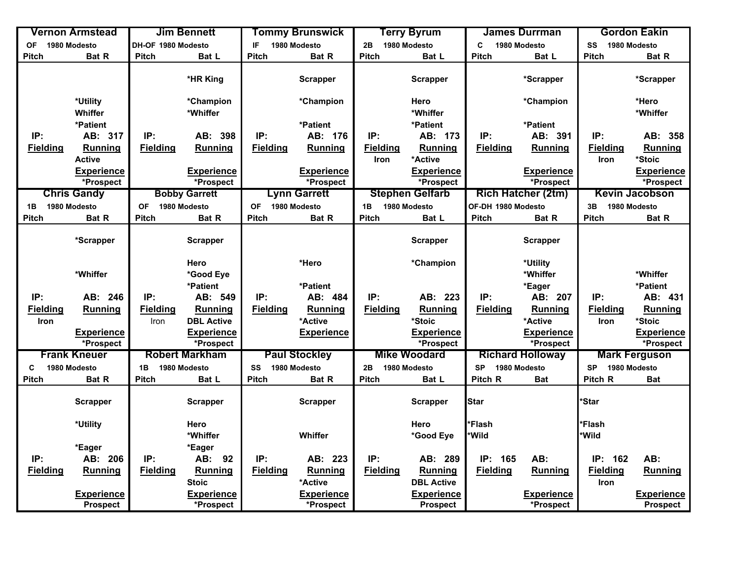|                 | <b>Vernon Armstead</b> |                    | <b>Jim Bennett</b>    |                 | <b>Tommy Brunswick</b> |                 | <b>Terry Byrum</b>     |                    | James Durrman             |                 | <b>Gordon Eakin</b>   |
|-----------------|------------------------|--------------------|-----------------------|-----------------|------------------------|-----------------|------------------------|--------------------|---------------------------|-----------------|-----------------------|
| OF 1980 Modesto |                        | DH-OF 1980 Modesto |                       | IF              | 1980 Modesto           | 2B              | 1980 Modesto           | C                  | 1980 Modesto              | SS              | 1980 Modesto          |
| <b>Pitch</b>    | Bat R                  | <b>Pitch</b>       | Bat L                 | <b>Pitch</b>    | <b>Bat R</b>           | <b>Pitch</b>    | Bat L                  | <b>Pitch</b>       | Bat L                     | <b>Pitch</b>    | Bat R                 |
|                 |                        |                    | *HR King              |                 | <b>Scrapper</b>        |                 | <b>Scrapper</b>        |                    | *Scrapper                 |                 | *Scrapper             |
|                 | *Utility<br>Whiffer    |                    | *Champion<br>*Whiffer |                 | *Champion              |                 | Hero<br>*Whiffer       |                    | *Champion                 |                 | *Hero<br>*Whiffer     |
|                 | *Patient               |                    |                       |                 | *Patient               |                 | *Patient               |                    | *Patient                  |                 |                       |
| IP:             | AB: 317                | IP:                | AB: 398               | IP:             | AB: 176                | IP:             | AB: 173                | IP:                | AB: 391                   | IP:             | AB: 358               |
| <b>Fielding</b> | Running                | <b>Fielding</b>    | <b>Running</b>        | <b>Fielding</b> | <b>Running</b>         | <b>Fielding</b> | Running                | <b>Fielding</b>    | Running                   | <b>Fielding</b> | <b>Running</b>        |
|                 | <b>Active</b>          |                    |                       |                 |                        | <b>Iron</b>     | *Active                |                    |                           | Iron            | *Stoic                |
|                 | <b>Experience</b>      |                    | <b>Experience</b>     |                 | <b>Experience</b>      |                 | <b>Experience</b>      |                    | <b>Experience</b>         |                 | <b>Experience</b>     |
|                 | *Prospect              |                    | *Prospect             |                 | *Prospect              |                 | *Prospect              |                    | *Prospect                 |                 | *Prospect             |
|                 | <b>Chris Gandy</b>     |                    | <b>Bobby Garrett</b>  |                 | <b>Lynn Garrett</b>    |                 | <b>Stephen Gelfarb</b> |                    | <b>Rich Hatcher (2tm)</b> |                 | <b>Kevin Jacobson</b> |
| 1B              | 1980 Modesto           | <b>OF</b>          | 1980 Modesto          | <b>OF</b>       | 1980 Modesto           | 1B              | 1980 Modesto           | OF-DH 1980 Modesto |                           | 3B              | 1980 Modesto          |
| <b>Pitch</b>    | Bat R                  | Pitch              | Bat R                 | <b>Pitch</b>    | Bat R                  | <b>Pitch</b>    | Bat L                  | <b>Pitch</b>       | Bat R                     | <b>Pitch</b>    | Bat R                 |
|                 |                        |                    |                       |                 |                        |                 |                        |                    |                           |                 |                       |
|                 | *Scrapper              |                    | <b>Scrapper</b>       |                 |                        |                 | <b>Scrapper</b>        |                    | <b>Scrapper</b>           |                 |                       |
|                 |                        |                    | Hero                  |                 | *Hero                  |                 | *Champion              |                    | *Utility                  |                 |                       |
|                 | *Whiffer               |                    | *Good Eye             |                 |                        |                 |                        |                    | *Whiffer                  |                 | *Whiffer              |
|                 |                        |                    | *Patient              |                 | *Patient               |                 |                        |                    | *Eager                    |                 | *Patient              |
| IP:             | AB: 246                | IP:                | AB: 549               | IP:             | AB: 484                | IP:             | AB: 223                | IP:                | AB: 207                   | IP:             | AB: 431               |
| <b>Fielding</b> | Running                | <b>Fielding</b>    | <b>Running</b>        | <b>Fielding</b> | Running                | <b>Fielding</b> | <b>Running</b>         | <b>Fielding</b>    | Running                   | <b>Fielding</b> | Running               |
| Iron            |                        | Iron               | <b>DBL Active</b>     |                 | *Active                |                 | *Stoic                 |                    | *Active                   | Iron            | *Stoic                |
|                 | <b>Experience</b>      |                    | <b>Experience</b>     |                 | <b>Experience</b>      |                 | <b>Experience</b>      |                    | <b>Experience</b>         |                 | <b>Experience</b>     |
|                 | *Prospect              |                    | *Prospect             |                 |                        |                 | *Prospect              |                    | *Prospect                 |                 | *Prospect             |
|                 | <b>Frank Kneuer</b>    |                    | <b>Robert Markham</b> |                 | <b>Paul Stockley</b>   |                 | <b>Mike Woodard</b>    |                    | <b>Richard Holloway</b>   |                 | <b>Mark Ferguson</b>  |
| C               | 1980 Modesto           | 1B                 | 1980 Modesto          | SS              | 1980 Modesto           | 2B              | 1980 Modesto           | <b>SP</b>          | 1980 Modesto              | <b>SP</b>       | 1980 Modesto          |
| <b>Pitch</b>    | Bat R                  | Pitch              | Bat L                 | <b>Pitch</b>    | Bat R                  | <b>Pitch</b>    | Bat L                  | Pitch R            | Bat                       | Pitch R         | <b>Bat</b>            |
|                 |                        |                    |                       |                 |                        |                 |                        |                    |                           |                 |                       |
|                 | <b>Scrapper</b>        |                    | <b>Scrapper</b>       |                 | <b>Scrapper</b>        |                 | <b>Scrapper</b>        | <b>Star</b>        |                           | *Star           |                       |
|                 | *Utility               |                    | Hero                  |                 |                        |                 | Hero                   | *Flash             |                           | *Flash          |                       |
|                 |                        |                    | *Whiffer              |                 | Whiffer                |                 | *Good Eye              | <b>Wild</b>        |                           | *Wild           |                       |
|                 | *Eager                 |                    | *Eager                |                 |                        |                 |                        |                    |                           |                 |                       |
| IP:             | AB: 206                | IP:                | AB: 92                | IP:             | AB: 223                | IP:             | AB: 289                | IP: 165            | AB:                       | IP: 162         | AB:                   |
| <b>Fielding</b> | Running                | <b>Fielding</b>    | <b>Running</b>        | <b>Fielding</b> | Running                | <b>Fielding</b> | Running                | <b>Fielding</b>    | <b>Running</b>            | <b>Fielding</b> | Running               |
|                 |                        |                    | <b>Stoic</b>          |                 | *Active                |                 | <b>DBL Active</b>      |                    |                           | Iron            |                       |
|                 | <b>Experience</b>      |                    | <b>Experience</b>     |                 | <b>Experience</b>      |                 | <b>Experience</b>      |                    | <b>Experience</b>         |                 | <b>Experience</b>     |
|                 | <b>Prospect</b>        |                    | *Prospect             |                 | *Prospect              |                 | <b>Prospect</b>        |                    | *Prospect                 |                 | <b>Prospect</b>       |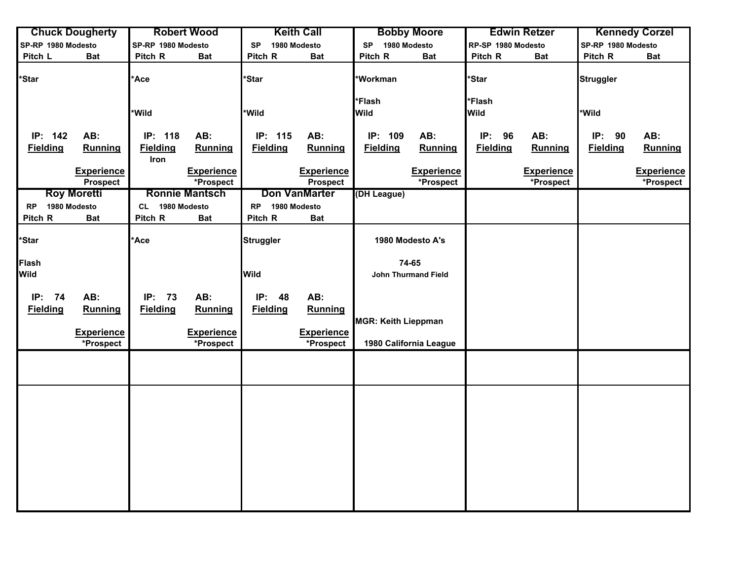|                    | <b>Chuck Dougherty</b>               |                         | <b>Robert Wood</b>             |                  | <b>Keith Call</b>                    |                            | <b>Bobby Moore</b>             |                    | <b>Edwin Retzer</b>            |                    | <b>Kennedy Corzel</b>          |
|--------------------|--------------------------------------|-------------------------|--------------------------------|------------------|--------------------------------------|----------------------------|--------------------------------|--------------------|--------------------------------|--------------------|--------------------------------|
| SP-RP 1980 Modesto |                                      | SP-RP 1980 Modesto      |                                | <b>SP</b>        | 1980 Modesto                         | 1980 Modesto<br><b>SP</b>  |                                | RP-SP 1980 Modesto |                                | SP-RP 1980 Modesto |                                |
| Pitch L            | <b>Bat</b>                           | Pitch R                 | <b>Bat</b>                     | Pitch R          | <b>Bat</b>                           | Pitch R                    | <b>Bat</b>                     | Pitch R            | <b>Bat</b>                     | Pitch R            | <b>Bat</b>                     |
| <i><b>Star</b></i> |                                      | 'Ace                    |                                | *Star            |                                      | *Workman                   |                                | *Star              |                                | <b>Struggler</b>   |                                |
|                    |                                      |                         |                                |                  |                                      | *Flash                     |                                | *Flash             |                                |                    |                                |
|                    |                                      | *Wild                   |                                | *Wild            |                                      | <b>Wild</b>                |                                | <b>Wild</b>        |                                | *Wild              |                                |
| IP: 142            | AB:                                  | IP: 118                 | AB:                            | IP: 115          | AB:                                  | IP: 109                    | AB:                            | IP: 96             | AB:                            | IP: 90             | AB:                            |
| <b>Fielding</b>    | <b>Running</b>                       | <b>Fielding</b><br>Iron | Running                        | <b>Fielding</b>  | Running                              | <b>Fielding</b>            | Running                        | <b>Fielding</b>    | Running                        | <b>Fielding</b>    | Running                        |
|                    | <b>Experience</b><br><b>Prospect</b> |                         | <b>Experience</b><br>*Prospect |                  | <b>Experience</b><br><b>Prospect</b> |                            | <b>Experience</b><br>*Prospect |                    | <b>Experience</b><br>*Prospect |                    | <b>Experience</b><br>*Prospect |
|                    | <b>Roy Moretti</b>                   |                         | <b>Ronnie Mantsch</b>          |                  | <b>Don VanMarter</b>                 | (DH League)                |                                |                    |                                |                    |                                |
| RP 1980 Modesto    |                                      | CL 1980 Modesto         |                                | RP 1980 Modesto  |                                      |                            |                                |                    |                                |                    |                                |
| Pitch R            | <b>Bat</b>                           | Pitch R                 | <b>Bat</b>                     | Pitch R          | <b>Bat</b>                           |                            |                                |                    |                                |                    |                                |
|                    |                                      |                         |                                |                  |                                      |                            |                                |                    |                                |                    |                                |
| <i><b>Star</b></i> |                                      | <b>Ace</b>              |                                | <b>Struggler</b> |                                      |                            | 1980 Modesto A's               |                    |                                |                    |                                |
| <b>Flash</b>       |                                      |                         |                                |                  |                                      |                            | 74-65                          |                    |                                |                    |                                |
| Wild               |                                      |                         |                                | <b>Wild</b>      |                                      |                            | <b>John Thurmand Field</b>     |                    |                                |                    |                                |
| IP: 74             | AB:                                  | IP: 73                  | AB:                            | <b>IP: 48</b>    | AB:                                  |                            |                                |                    |                                |                    |                                |
| <b>Fielding</b>    | Running                              | <b>Fielding</b>         | <b>Running</b>                 | <b>Fielding</b>  | Running                              |                            |                                |                    |                                |                    |                                |
|                    |                                      |                         |                                |                  |                                      | <b>MGR: Keith Lieppman</b> |                                |                    |                                |                    |                                |
|                    | <b>Experience</b>                    |                         | <b>Experience</b>              |                  | <b>Experience</b>                    |                            |                                |                    |                                |                    |                                |
|                    | *Prospect                            |                         | *Prospect                      |                  | *Prospect                            |                            | 1980 California League         |                    |                                |                    |                                |
|                    |                                      |                         |                                |                  |                                      |                            |                                |                    |                                |                    |                                |
|                    |                                      |                         |                                |                  |                                      |                            |                                |                    |                                |                    |                                |
|                    |                                      |                         |                                |                  |                                      |                            |                                |                    |                                |                    |                                |
|                    |                                      |                         |                                |                  |                                      |                            |                                |                    |                                |                    |                                |
|                    |                                      |                         |                                |                  |                                      |                            |                                |                    |                                |                    |                                |
|                    |                                      |                         |                                |                  |                                      |                            |                                |                    |                                |                    |                                |
|                    |                                      |                         |                                |                  |                                      |                            |                                |                    |                                |                    |                                |
|                    |                                      |                         |                                |                  |                                      |                            |                                |                    |                                |                    |                                |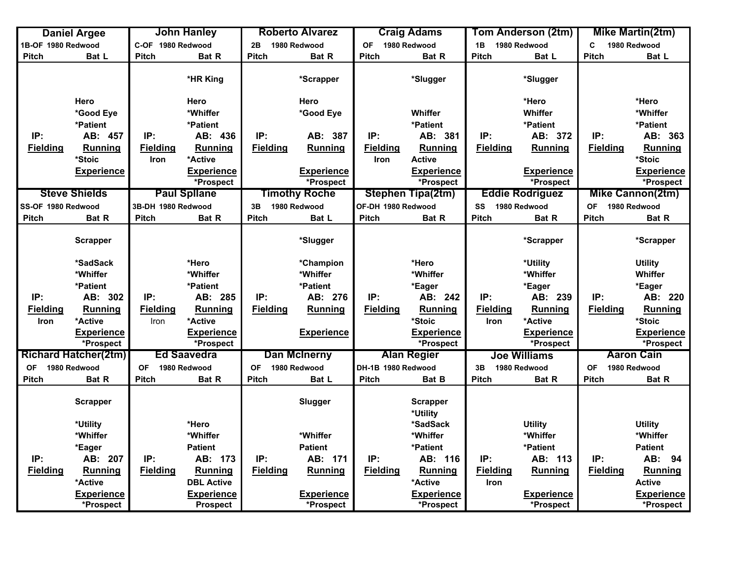|                    | <b>Daniel Argee</b>            |                    | <b>John Hanley</b>                   |                 | <b>Roberto Alvarez</b>         |                    | <b>Craig Adams</b>             |                 | Tom Anderson (2tm)             |                 | Mike Martin(2tm)               |
|--------------------|--------------------------------|--------------------|--------------------------------------|-----------------|--------------------------------|--------------------|--------------------------------|-----------------|--------------------------------|-----------------|--------------------------------|
| 1B-OF 1980 Redwood |                                | C-OF 1980 Redwood  |                                      | 2B              | 1980 Redwood                   | OF 1980 Redwood    |                                | 1B              | 1980 Redwood                   | C               | 1980 Redwood                   |
| <b>Pitch</b>       | Bat L                          | <b>Pitch</b>       | Bat R                                | <b>Pitch</b>    | Bat R                          | <b>Pitch</b>       | Bat R                          | Pitch           | Bat L                          | <b>Pitch</b>    | Bat L                          |
|                    |                                |                    | *HR King                             |                 | *Scrapper                      |                    | *Slugger                       |                 | *Slugger                       |                 |                                |
|                    | Hero                           |                    | Hero                                 |                 | Hero                           |                    |                                |                 | *Hero                          |                 | *Hero                          |
|                    | *Good Eye                      |                    | *Whiffer                             |                 | *Good Eye                      |                    | <b>Whiffer</b>                 |                 | Whiffer                        |                 | *Whiffer                       |
|                    | *Patient                       |                    | *Patient                             |                 |                                |                    | *Patient                       |                 | *Patient                       |                 | *Patient                       |
| IP:                | AB: 457                        | IP:                | AB: 436                              | IP:             | AB: 387                        | IP:                | AB: 381                        | IP:             | AB: 372                        | IP:             | AB: 363                        |
| <b>Fielding</b>    | <b>Running</b>                 | <b>Fielding</b>    | Running                              | <b>Fielding</b> | <b>Running</b>                 | <b>Fielding</b>    | Running                        | <b>Fielding</b> | Running                        | <b>Fielding</b> | <b>Running</b>                 |
|                    | *Stoic                         | <b>Iron</b>        | *Active                              |                 |                                | <b>Iron</b>        | <b>Active</b>                  |                 |                                |                 | *Stoic                         |
|                    | <b>Experience</b>              |                    | <b>Experience</b>                    |                 | <b>Experience</b>              |                    | <b>Experience</b>              |                 | <b>Experience</b>              |                 | <b>Experience</b>              |
|                    |                                |                    | *Prospect                            |                 | *Prospect                      |                    | *Prospect                      |                 | *Prospect                      |                 | *Prospect                      |
|                    | <b>Steve Shields</b>           |                    | <b>Paul Spllane</b>                  |                 | <b>Timothy Roche</b>           |                    | <b>Stephen Tipa(2tm)</b>       |                 | <b>Eddie Rodriguez</b>         |                 | <b>Mike Cannon(2tm)</b>        |
| SS-OF 1980 Redwood |                                | 3B-DH 1980 Redwood |                                      | 3B              | 1980 Redwood                   | OF-DH 1980 Redwood |                                | SS              | 1980 Redwood                   | OF 1980 Redwood |                                |
| <b>Pitch</b>       | Bat R                          | Pitch              | Bat R                                | <b>Pitch</b>    | Bat L                          | Pitch              | Bat R                          | Pitch           | Bat R                          | <b>Pitch</b>    | Bat R                          |
|                    | <b>Scrapper</b>                |                    |                                      |                 | *Slugger                       |                    |                                |                 | *Scrapper                      |                 | *Scrapper                      |
|                    | *SadSack                       |                    | *Hero                                |                 | *Champion                      |                    | *Hero                          |                 | *Utility                       |                 | <b>Utility</b>                 |
|                    | *Whiffer                       |                    | *Whiffer                             |                 | *Whiffer                       |                    | *Whiffer                       |                 | *Whiffer                       |                 | Whiffer                        |
|                    | *Patient                       |                    | *Patient                             |                 | *Patient                       |                    | *Eager                         |                 | *Eager                         |                 | *Eager                         |
| IP:                | AB: 302                        | IP:                | AB: 285                              | IP:             | AB: 276                        | IP:                | AB: 242                        | IP:             | AB: 239                        | IP:             | AB: 220                        |
| <b>Fielding</b>    | <b>Running</b>                 | <b>Fielding</b>    | Running                              | <b>Fielding</b> | <b>Running</b>                 | <b>Fielding</b>    | Running                        | <b>Fielding</b> | Running                        | <b>Fielding</b> | <b>Running</b>                 |
| <b>Iron</b>        | *Active                        | Iron               | *Active                              |                 |                                |                    | *Stoic                         | Iron            | *Active                        |                 | *Stoic                         |
|                    | <b>Experience</b>              |                    | <b>Experience</b>                    |                 | <b>Experience</b>              |                    | <b>Experience</b>              |                 | <b>Experience</b>              |                 | <b>Experience</b>              |
|                    | *Prospect                      |                    | *Prospect                            |                 |                                |                    | *Prospect                      |                 | *Prospect                      |                 | *Prospect                      |
|                    | <b>Richard Hatcher(2tm)</b>    |                    | <b>Ed Saavedra</b>                   |                 | <b>Dan McInerny</b>            |                    | <b>Alan Regier</b>             |                 | <b>Joe Williams</b>            |                 | <b>Aaron Cain</b>              |
| <b>OF</b>          | 1980 Redwood                   | <b>OF</b>          | 1980 Redwood                         | <b>OF</b>       | 1980 Redwood                   | DH-1B 1980 Redwood |                                | 3B              | 1980 Redwood                   | OF              | 1980 Redwood                   |
| <b>Pitch</b>       | Bat R                          | <b>Pitch</b>       | Bat R                                | <b>Pitch</b>    | Bat L                          | <b>Pitch</b>       | Bat B                          | <b>Pitch</b>    | Bat R                          | <b>Pitch</b>    | Bat R                          |
|                    | <b>Scrapper</b>                |                    |                                      |                 | Slugger                        |                    | <b>Scrapper</b><br>*Utility    |                 |                                |                 |                                |
|                    | *Utility                       |                    | *Hero                                |                 |                                |                    | *SadSack                       |                 | <b>Utility</b>                 |                 | <b>Utility</b>                 |
|                    | *Whiffer                       |                    | *Whiffer                             |                 | *Whiffer                       |                    | *Whiffer                       |                 | *Whiffer                       |                 | *Whiffer                       |
|                    | *Eager                         |                    | <b>Patient</b>                       |                 | <b>Patient</b>                 |                    | *Patient                       |                 | *Patient                       |                 | <b>Patient</b>                 |
| IP:                | AB: 207                        | IP:                | AB: 173                              | IP:             | AB: 171                        | IP:                | AB: 116                        | IP:             | AB: 113                        | IP:             | AB: 94                         |
| <b>Fielding</b>    | <b>Running</b>                 | <b>Fielding</b>    | <b>Running</b>                       | <b>Fielding</b> | <b>Running</b>                 | <b>Fielding</b>    | Running                        | <b>Fielding</b> | <b>Running</b>                 | <b>Fielding</b> | <b>Running</b>                 |
|                    | *Active                        |                    | <b>DBL Active</b>                    |                 |                                |                    | *Active                        | <b>Iron</b>     |                                |                 | <b>Active</b>                  |
|                    | <b>Experience</b><br>*Prospect |                    | <b>Experience</b><br><b>Prospect</b> |                 | <b>Experience</b><br>*Prospect |                    | <b>Experience</b><br>*Prospect |                 | <b>Experience</b><br>*Prospect |                 | <b>Experience</b><br>*Prospect |
|                    |                                |                    |                                      |                 |                                |                    |                                |                 |                                |                 |                                |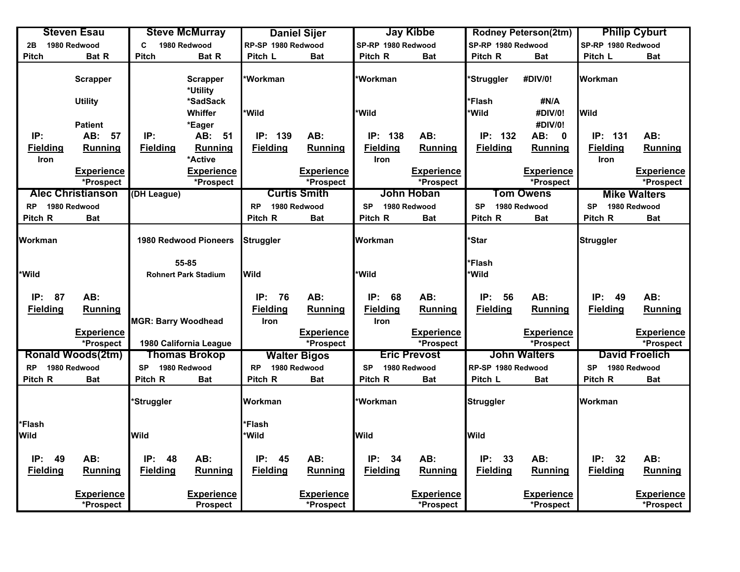|                 | <b>Steven Esau</b>       |                            | <b>Steve McMurray</b>       |                    | <b>Daniel Sijer</b> |                    | <b>Jay Kibbe</b>    |                    | <b>Rodney Peterson(2tm)</b> |                    | <b>Philip Cyburt</b>  |
|-----------------|--------------------------|----------------------------|-----------------------------|--------------------|---------------------|--------------------|---------------------|--------------------|-----------------------------|--------------------|-----------------------|
| 2B              | 1980 Redwood             | C                          | 1980 Redwood                | RP-SP 1980 Redwood |                     | SP-RP 1980 Redwood |                     | SP-RP 1980 Redwood |                             | SP-RP 1980 Redwood |                       |
| Pitch           | Bat R                    | <b>Pitch</b>               | Bat R                       | Pitch L            | <b>Bat</b>          | Pitch R            | <b>Bat</b>          | Pitch R            | <b>Bat</b>                  | Pitch L            | <b>Bat</b>            |
|                 | <b>Scrapper</b>          |                            | <b>Scrapper</b><br>*Utility | *Workman           |                     | *Workman           |                     | 'Struggler         | #DIV/0!                     | Workman            |                       |
|                 | <b>Utility</b>           |                            | *SadSack                    |                    |                     |                    |                     | *Flash             | #N/A                        |                    |                       |
|                 |                          |                            | Whiffer                     | *Wild              |                     | *Wild              |                     | *Wild              | #DIV/0!                     | <b>Wild</b>        |                       |
|                 | <b>Patient</b>           |                            | *Eager                      |                    |                     |                    |                     |                    | #DIV/0!                     |                    |                       |
| IP:             | AB:<br>57                | IP:                        | AB:<br>51                   | 139<br>IP:         | AB:                 | IP:<br>138         | AB:                 | IP: 132            | AB: 0                       | IP: 131            | AB:                   |
| <b>Fielding</b> | <b>Running</b>           | <b>Fielding</b>            | Running                     | <b>Fielding</b>    | <b>Running</b>      | <b>Fielding</b>    | Running             | <b>Fielding</b>    | Running                     | <b>Fielding</b>    | Running               |
| Iron            |                          |                            | *Active                     |                    |                     | <b>Iron</b>        |                     |                    |                             | <b>Iron</b>        |                       |
|                 | Experience               |                            | Experience                  |                    | <b>Experience</b>   |                    | <b>Experience</b>   |                    | <b>Experience</b>           |                    | <b>Experience</b>     |
|                 | *Prospect                |                            | *Prospect                   |                    | *Prospect           |                    | *Prospect           |                    | *Prospect                   |                    | *Prospect             |
|                 | <b>Alec Christianson</b> | (DH League)                |                             |                    | <b>Curtis Smith</b> |                    | John Hoban          |                    | <b>Tom Owens</b>            |                    | <b>Mike Walters</b>   |
| RP 1980 Redwood |                          |                            |                             | <b>RP</b>          | 1980 Redwood        | <b>SP</b>          | 1980 Redwood        | <b>SP</b>          | 1980 Redwood                | <b>SP</b>          | 1980 Redwood          |
| Pitch R         | Bat                      |                            |                             | Pitch R            | <b>Bat</b>          | Pitch R            | <b>Bat</b>          | Pitch R            | <b>Bat</b>                  | Pitch R            | <b>Bat</b>            |
|                 |                          |                            |                             |                    |                     |                    |                     |                    |                             |                    |                       |
| <b>Workman</b>  |                          |                            | 1980 Redwood Pioneers       | <b>Struggler</b>   |                     | Workman            |                     | *Star              |                             | <b>Struggler</b>   |                       |
|                 |                          |                            |                             |                    |                     |                    |                     |                    |                             |                    |                       |
|                 |                          |                            | 55-85                       |                    |                     |                    |                     | *Flash             |                             |                    |                       |
| *Wild           |                          |                            | <b>Rohnert Park Stadium</b> | Wild               |                     | *Wild              |                     | *Wild              |                             |                    |                       |
|                 |                          |                            |                             |                    |                     |                    |                     |                    |                             |                    |                       |
| IP: 87          | AB:                      |                            |                             | IP: 76             | AB:                 | IP: 68             | AB:                 | IP:<br>56          | AB:                         | IP:<br>49          | AB:                   |
| <b>Fielding</b> | Running                  |                            |                             | <b>Fielding</b>    | Running             | <b>Fielding</b>    | <b>Running</b>      | <b>Fielding</b>    | Running                     | <b>Fielding</b>    | Running               |
|                 |                          | <b>MGR: Barry Woodhead</b> |                             | Iron               |                     | <b>Iron</b>        |                     |                    |                             |                    |                       |
|                 | <b>Experience</b>        |                            |                             |                    | <b>Experience</b>   |                    | <b>Experience</b>   |                    | <b>Experience</b>           |                    | <b>Experience</b>     |
|                 | *Prospect                |                            | 1980 California League      |                    | *Prospect           |                    | *Prospect           |                    | *Prospect                   |                    | *Prospect             |
|                 | <b>Ronald Woods(2tm)</b> |                            | Thomas Brokop               |                    | <b>Walter Bigos</b> |                    | <b>Eric Prevost</b> |                    | <b>John Walters</b>         |                    | <b>David Froelich</b> |
| <b>RP</b>       | 1980 Redwood             | <b>SP</b>                  | 1980 Redwood                | <b>RP</b>          | 1980 Redwood        | <b>SP</b>          | 1980 Redwood        | RP-SP 1980 Redwood |                             | <b>SP</b>          | 1980 Redwood          |
| Pitch R         | <b>Bat</b>               | Pitch R                    | <b>Bat</b>                  | Pitch R            | Bat                 | Pitch R            | <b>Bat</b>          | Pitch L            | <b>Bat</b>                  | Pitch R            | <b>Bat</b>            |
|                 |                          |                            |                             |                    |                     |                    |                     |                    |                             |                    |                       |
|                 |                          | <b>Struggler</b>           |                             | Workman            |                     | *Workman           |                     | <b>Struggler</b>   |                             | Workman            |                       |
|                 |                          |                            |                             |                    |                     |                    |                     |                    |                             |                    |                       |
| *Flash          |                          |                            |                             | *Flash             |                     |                    |                     |                    |                             |                    |                       |
| <b>Wild</b>     |                          | <b>Wild</b>                |                             | *Wild              |                     | <b>Wild</b>        |                     | <b>Wild</b>        |                             |                    |                       |
|                 |                          |                            |                             |                    |                     |                    |                     |                    |                             |                    |                       |
| IP:<br>49       | AB:                      | IP:<br>48                  | AB:                         | IP:<br>45          | AB:                 | IP:<br>34          | AB:                 | IP:<br>33          | AB:                         | IP:<br>32          | AB:                   |
| <b>Fielding</b> | Running                  | <b>Fielding</b>            | Running                     | <b>Fielding</b>    | Running             | <b>Fielding</b>    | <b>Running</b>      | <b>Fielding</b>    | Running                     | <b>Fielding</b>    | <b>Running</b>        |
|                 |                          |                            |                             |                    |                     |                    |                     |                    |                             |                    |                       |
|                 | <b>Experience</b>        |                            | <b>Experience</b>           |                    | <b>Experience</b>   |                    | <b>Experience</b>   |                    | <b>Experience</b>           |                    | <b>Experience</b>     |
|                 | *Prospect                |                            | <b>Prospect</b>             |                    | *Prospect           |                    | *Prospect           |                    | *Prospect                   |                    | *Prospect             |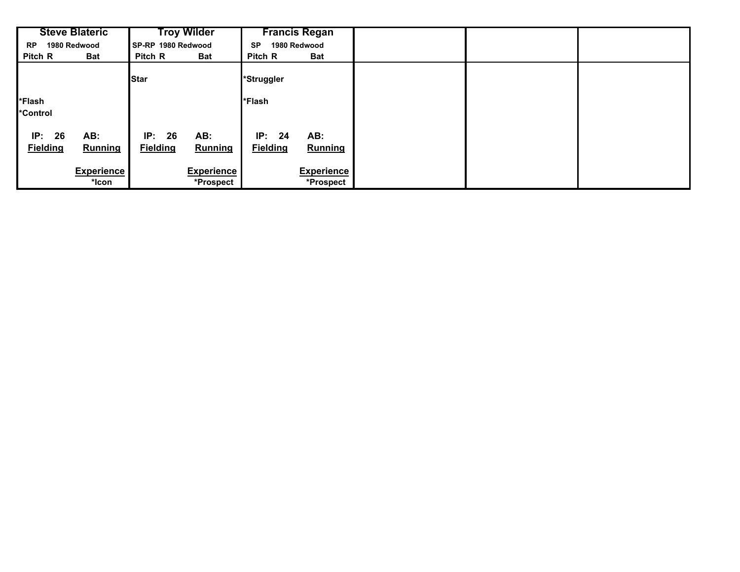|                              | <b>Steve Blateric</b><br><b>Troy Wilder</b> |                              |                                | <b>Francis Regan</b>         |                                |  |  |
|------------------------------|---------------------------------------------|------------------------------|--------------------------------|------------------------------|--------------------------------|--|--|
| <b>RP</b>                    | 1980 Redwood                                | SP-RP 1980 Redwood           |                                | 1980 Redwood<br><b>SP</b>    |                                |  |  |
| Pitch R                      | Bat                                         | Pitch R                      | <b>Bat</b>                     | Pitch R                      | <b>Bat</b>                     |  |  |
|                              |                                             | <b>Star</b>                  |                                | *Struggler                   |                                |  |  |
| *Flash<br>*Control           |                                             |                              |                                | *Flash                       |                                |  |  |
| IP:<br>26<br><b>Fielding</b> | AB:<br><b>Running</b>                       | IP:<br>26<br><b>Fielding</b> | AB:<br><b>Running</b>          | IP:<br>24<br><b>Fielding</b> | AB:<br><b>Running</b>          |  |  |
|                              | <b>Experience</b><br>*lcon                  |                              | <b>Experience</b><br>*Prospect |                              | <b>Experience</b><br>*Prospect |  |  |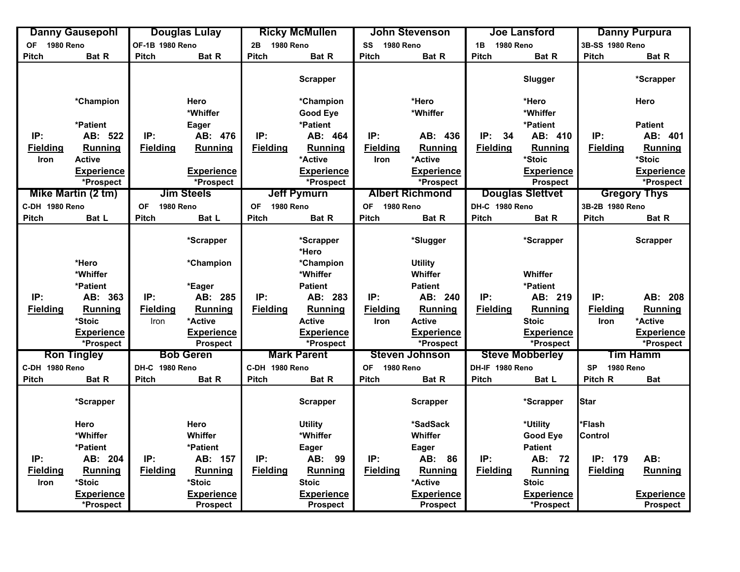|                 | <b>Danny Gausepohl</b> |                               | <b>Douglas Lulay</b> |                               | <b>Ricky McMullen</b> |                               | John Stevenson         |                        | <b>Joe Lansford</b>     |                               | <b>Danny Purpura</b> |
|-----------------|------------------------|-------------------------------|----------------------|-------------------------------|-----------------------|-------------------------------|------------------------|------------------------|-------------------------|-------------------------------|----------------------|
| OF 1980 Reno    |                        | OF-1B 1980 Reno               |                      | 2B 1980 Reno                  |                       | SS<br><b>1980 Reno</b>        |                        | 1B<br><b>1980 Reno</b> |                         | 3B-SS 1980 Reno               |                      |
| <b>Pitch</b>    | Bat R                  | <b>Pitch</b>                  | Bat R                | <b>Pitch</b>                  | Bat R                 | <b>Pitch</b>                  | Bat R                  | <b>Pitch</b>           | Bat R                   | <b>Pitch</b>                  | Bat R                |
|                 |                        |                               |                      |                               | <b>Scrapper</b>       |                               |                        |                        | Slugger                 |                               | *Scrapper            |
|                 | *Champion              |                               | Hero                 |                               | *Champion             |                               | *Hero                  |                        | *Hero                   |                               | Hero                 |
|                 |                        |                               | *Whiffer             |                               | <b>Good Eye</b>       |                               | *Whiffer               |                        | *Whiffer                |                               |                      |
|                 | *Patient               |                               | Eager                |                               | *Patient              |                               |                        |                        | *Patient                |                               | <b>Patient</b>       |
| IP:             | AB: 522                | IP:                           | AB: 476              | IP:                           | AB: 464               | IP:                           | AB: 436                | IP:<br>34              | AB: 410                 | IP:                           | AB: 401              |
| <b>Fielding</b> | <b>Running</b>         | <b>Fielding</b>               | Running              | <b>Fielding</b>               | Running               | <b>Fielding</b>               | Running                | <b>Fielding</b>        | <b>Running</b>          | <b>Fielding</b>               | <b>Running</b>       |
| Iron            | <b>Active</b>          |                               |                      |                               | *Active               | Iron                          | *Active                |                        | *Stoic                  |                               | *Stoic               |
|                 | <b>Experience</b>      |                               | <b>Experience</b>    |                               | <b>Experience</b>     |                               | <b>Experience</b>      |                        | <b>Experience</b>       |                               | <b>Experience</b>    |
|                 | *Prospect              |                               | *Prospect            |                               | *Prospect             |                               | *Prospect              |                        | <b>Prospect</b>         |                               | *Prospect            |
|                 | Mike Martin (2 tm)     |                               | <b>Jim Steels</b>    |                               | <b>Jeff Pymurn</b>    |                               | <b>Albert Richmond</b> |                        | <b>Douglas Slettvet</b> |                               | <b>Gregory Thys</b>  |
| C-DH 1980 Reno  |                        | <b>1980 Reno</b><br><b>OF</b> |                      | <b>OF</b><br><b>1980 Reno</b> |                       | <b>OF</b><br><b>1980 Reno</b> |                        | DH-C 1980 Reno         |                         | 3B-2B 1980 Reno               |                      |
| Pitch           | Bat L                  | <b>Pitch</b>                  | Bat L                | <b>Pitch</b>                  | Bat R                 | <b>Pitch</b>                  | Bat R                  | <b>Pitch</b>           | Bat R                   | <b>Pitch</b>                  | Bat R                |
|                 |                        |                               | *Scrapper            |                               | *Scrapper<br>*Hero    |                               | *Slugger               |                        | *Scrapper               |                               | <b>Scrapper</b>      |
|                 | *Hero                  |                               | *Champion            |                               | *Champion             |                               | <b>Utility</b>         |                        |                         |                               |                      |
|                 | *Whiffer               |                               |                      |                               | *Whiffer              |                               | Whiffer                |                        | Whiffer                 |                               |                      |
|                 | *Patient               |                               | *Eager               |                               | <b>Patient</b>        |                               | <b>Patient</b>         |                        | *Patient                |                               |                      |
| IP:             | AB: 363                | IP:                           | AB: 285              | IP:                           | AB: 283               | IP:                           | AB: 240                | IP:                    | AB: 219                 | IP:                           | AB: 208              |
| <b>Fielding</b> | Running                | <b>Fielding</b>               | Running              | <b>Fielding</b>               | Running               | <b>Fielding</b>               | Running                | <b>Fielding</b>        | Running                 | <b>Fielding</b>               | <b>Running</b>       |
|                 | *Stoic                 | Iron                          | *Active              |                               | <b>Active</b>         | <b>Iron</b>                   | <b>Active</b>          |                        | <b>Stoic</b>            | Iron                          | *Active              |
|                 | <b>Experience</b>      |                               | <b>Experience</b>    |                               | <b>Experience</b>     |                               | <b>Experience</b>      |                        | <b>Experience</b>       |                               | <b>Experience</b>    |
|                 | *Prospect              |                               | <b>Prospect</b>      |                               | *Prospect             |                               | *Prospect              |                        | *Prospect               |                               | *Prospect            |
|                 | <b>Ron Tingley</b>     |                               | <b>Bob Geren</b>     |                               | <b>Mark Parent</b>    |                               | <b>Steven Johnson</b>  |                        | <b>Steve Mobberley</b>  |                               | Tim Hamm             |
| C-DH 1980 Reno  |                        | DH-C 1980 Reno                |                      | C-DH 1980 Reno                |                       | <b>OF</b><br><b>1980 Reno</b> |                        | DH-IF 1980 Reno        |                         | <b>1980 Reno</b><br><b>SP</b> |                      |
| <b>Pitch</b>    | Bat R                  | <b>Pitch</b>                  | Bat R                | <b>Pitch</b>                  | Bat R                 | <b>Pitch</b>                  | Bat R                  | <b>Pitch</b>           | Bat L                   | Pitch R                       | <b>Bat</b>           |
|                 | *Scrapper              |                               |                      |                               | <b>Scrapper</b>       |                               | <b>Scrapper</b>        |                        | *Scrapper               | <b>Star</b>                   |                      |
|                 | Hero                   |                               | Hero                 |                               | <b>Utility</b>        |                               | *SadSack               |                        | *Utility                | *Flash                        |                      |
|                 | *Whiffer               |                               | Whiffer              |                               | *Whiffer              |                               | Whiffer                |                        | <b>Good Eye</b>         | Control                       |                      |
|                 | *Patient               |                               | *Patient             |                               | <b>Eager</b>          |                               | <b>Eager</b>           |                        | <b>Patient</b>          |                               |                      |
| IP:             | AB: 204                | IP:                           | AB: 157              | IP:                           | AB: 99                | IP:                           | AB: 86                 | IP:                    | AB: 72                  | IP: 179                       | AB:                  |
| <b>Fielding</b> | <b>Running</b>         | <b>Fielding</b>               | Running              | <b>Fielding</b>               | <b>Running</b>        | <b>Fielding</b>               | <b>Running</b>         | <b>Fielding</b>        | Running                 | <b>Fielding</b>               | Running              |
| Iron            | *Stoic                 |                               | *Stoic               |                               | <b>Stoic</b>          |                               | *Active                |                        | <b>Stoic</b>            |                               |                      |
|                 | <b>Experience</b>      |                               | <b>Experience</b>    |                               | <b>Experience</b>     |                               | <b>Experience</b>      |                        | <b>Experience</b>       |                               | <b>Experience</b>    |
|                 | *Prospect              |                               | <b>Prospect</b>      |                               | <b>Prospect</b>       |                               | <b>Prospect</b>        |                        | *Prospect               |                               | <b>Prospect</b>      |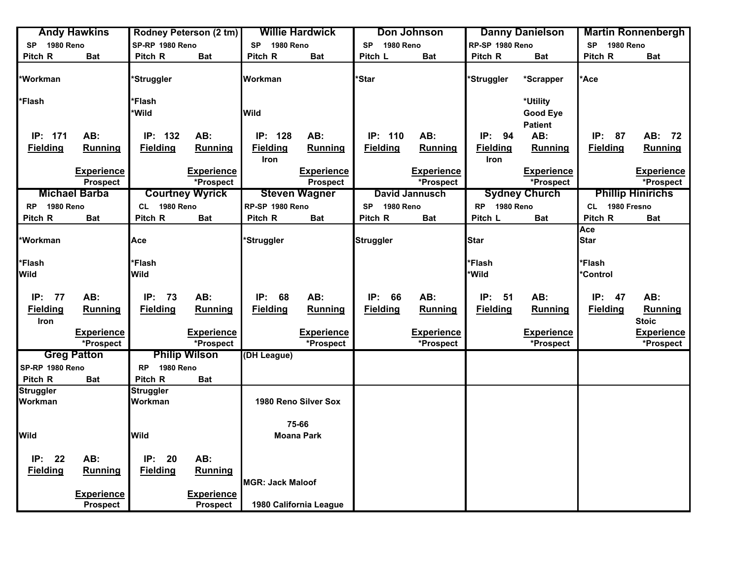|                  | <b>Andy Hawkins</b>                  |                        | <b>Rodney Peterson (2 tm)</b>        |                               | <b>Willie Hardwick</b> |                               | Don Johnson           |                 | <b>Danny Danielson</b> |                        | <b>Martin Ronnenbergh</b> |
|------------------|--------------------------------------|------------------------|--------------------------------------|-------------------------------|------------------------|-------------------------------|-----------------------|-----------------|------------------------|------------------------|---------------------------|
| 1980 Reno<br>SP  |                                      | SP-RP 1980 Reno        |                                      | <b>SP</b><br><b>1980 Reno</b> |                        | <b>1980 Reno</b><br><b>SP</b> |                       | RP-SP 1980 Reno |                        | 1980 Reno<br><b>SP</b> |                           |
| Pitch R          | <b>Bat</b>                           | Pitch R                | <b>Bat</b>                           | Pitch R                       | <b>Bat</b>             | Pitch L                       | <b>Bat</b>            | Pitch R         | <b>Bat</b>             | Pitch R                | <b>Bat</b>                |
| *Workman         |                                      | *Struggler             |                                      | Workman                       |                        | *Star                         |                       | *Struggler      | *Scrapper              | <b>Ace</b>             |                           |
| *Flash           |                                      | *Flash                 |                                      |                               |                        |                               |                       |                 | *Utility               |                        |                           |
|                  |                                      | *Wild                  |                                      | Wild                          |                        |                               |                       |                 | Good Eye               |                        |                           |
|                  |                                      |                        |                                      |                               |                        |                               |                       |                 | <b>Patient</b>         |                        |                           |
| IP: 171          | AB:                                  | IP: 132                | AB:                                  | IP: 128                       | AB:                    | IP:<br>110                    | AB:                   | IP:<br>94       | AB:                    | IP:<br>87              | AB: 72                    |
| <b>Fielding</b>  | Running                              | <b>Fielding</b>        | <b>Running</b>                       | <b>Fielding</b>               | <b>Running</b>         | <b>Fielding</b>               | <b>Running</b>        | <b>Fielding</b> | Running                | <b>Fielding</b>        | <b>Running</b>            |
|                  |                                      |                        |                                      | Iron                          |                        |                               |                       | Iron            |                        |                        |                           |
|                  | <b>Experience</b>                    |                        | <b>Experience</b>                    |                               | <b>Experience</b>      |                               | <b>Experience</b>     |                 | <b>Experience</b>      |                        | <b>Experience</b>         |
|                  | <b>Prospect</b>                      |                        | *Prospect                            |                               | <b>Prospect</b>        |                               | *Prospect             |                 | *Prospect              |                        | *Prospect                 |
|                  | <b>Michael Barba</b>                 |                        | <b>Courtney Wyrick</b>               |                               | <b>Steven Wagner</b>   |                               | <b>David Jannusch</b> |                 | <b>Sydney Church</b>   |                        | <b>Phillip Hinirichs</b>  |
| RP 1980 Reno     |                                      | CL 1980 Reno           |                                      | RP-SP 1980 Reno               |                        | 1980 Reno<br><b>SP</b>        |                       | RP 1980 Reno    |                        | CL 1980 Fresno         |                           |
| Pitch R          | <b>Bat</b>                           | Pitch R                | <b>Bat</b>                           | Pitch R                       | <b>Bat</b>             | Pitch R                       | <b>Bat</b>            | Pitch L         | <b>Bat</b>             | Pitch R                | <b>Bat</b>                |
|                  |                                      |                        |                                      |                               |                        |                               |                       |                 |                        | Ace                    |                           |
| *Workman         |                                      | Асе                    |                                      | *Struggler                    |                        | <b>Struggler</b>              |                       | <b>Star</b>     |                        | <b>Star</b>            |                           |
|                  |                                      |                        |                                      |                               |                        |                               |                       |                 |                        |                        |                           |
| *Flash           |                                      | *Flash                 |                                      |                               |                        |                               |                       | *Flash          |                        | *Flash                 |                           |
| <b>Wild</b>      |                                      | Wild                   |                                      |                               |                        |                               |                       | *Wild           |                        | <b>Control</b>         |                           |
|                  |                                      |                        |                                      |                               |                        |                               |                       |                 |                        |                        |                           |
| IP: 77           | AB:                                  | IP:<br>- 73            | AB:                                  | IP:<br>68                     | AB:                    | IP:<br>66                     | AB:                   | IP:<br>51       | AB:                    | IP:<br>- 47            | AB:                       |
| <b>Fielding</b>  | <b>Running</b>                       | <b>Fielding</b>        | Running                              | <b>Fielding</b>               | <b>Running</b>         | <b>Fielding</b>               | Running               | <b>Fielding</b> | Running                | <b>Fielding</b>        | Running                   |
| Iron             |                                      |                        |                                      |                               |                        |                               |                       |                 |                        |                        | <b>Stoic</b>              |
|                  | Experience                           |                        | <b>Experience</b>                    |                               | <b>Experience</b>      |                               | <b>Experience</b>     |                 | <b>Experience</b>      |                        | <b>Experience</b>         |
|                  | *Prospect                            |                        | *Prospect                            |                               | *Prospect              |                               | *Prospect             |                 | *Prospect              |                        | *Prospect                 |
|                  | <b>Greg Patton</b>                   |                        | <b>Philip Wilson</b>                 | (DH League)                   |                        |                               |                       |                 |                        |                        |                           |
| SP-RP 1980 Reno  |                                      | 1980 Reno<br><b>RP</b> |                                      |                               |                        |                               |                       |                 |                        |                        |                           |
| Pitch R          | <b>Bat</b>                           | Pitch R                | <b>Bat</b>                           |                               |                        |                               |                       |                 |                        |                        |                           |
| <b>Struggler</b> |                                      | <b>Struggler</b>       |                                      |                               |                        |                               |                       |                 |                        |                        |                           |
| Workman          |                                      | Workman                |                                      |                               | 1980 Reno Silver Sox   |                               |                       |                 |                        |                        |                           |
|                  |                                      |                        |                                      |                               |                        |                               |                       |                 |                        |                        |                           |
|                  |                                      |                        |                                      |                               | 75-66                  |                               |                       |                 |                        |                        |                           |
| <b>Wild</b>      |                                      | <b>Wild</b>            |                                      |                               | <b>Moana Park</b>      |                               |                       |                 |                        |                        |                           |
| IP: 22           | AB:                                  | IP:<br>20              | AB:                                  |                               |                        |                               |                       |                 |                        |                        |                           |
|                  |                                      |                        |                                      |                               |                        |                               |                       |                 |                        |                        |                           |
| <b>Fielding</b>  | <b>Running</b>                       | <b>Fielding</b>        | Running                              | <b>MGR: Jack Maloof</b>       |                        |                               |                       |                 |                        |                        |                           |
|                  |                                      |                        |                                      |                               |                        |                               |                       |                 |                        |                        |                           |
|                  | <b>Experience</b><br><b>Prospect</b> |                        | <b>Experience</b><br><b>Prospect</b> |                               | 1980 California League |                               |                       |                 |                        |                        |                           |
|                  |                                      |                        |                                      |                               |                        |                               |                       |                 |                        |                        |                           |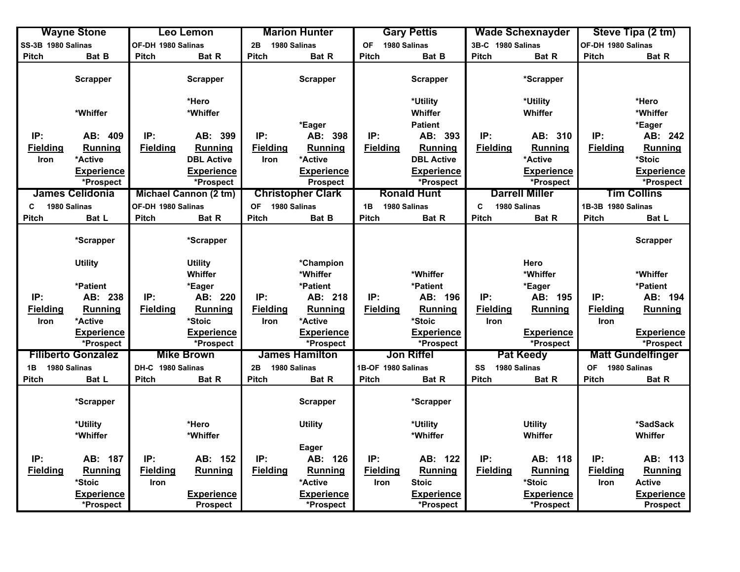|                    | <b>Wayne Stone</b>                     |                    | <b>Leo Lemon</b>               |                    | <b>Marion Hunter</b>               |                    | <b>Gary Pettis</b>             |                   | <b>Wade Schexnayder</b>       |                           | Steve Tipa (2 tm)                     |
|--------------------|----------------------------------------|--------------------|--------------------------------|--------------------|------------------------------------|--------------------|--------------------------------|-------------------|-------------------------------|---------------------------|---------------------------------------|
| SS-3B 1980 Salinas |                                        | OF-DH 1980 Salinas |                                | 1980 Salinas<br>2B |                                    | OF 1980 Salinas    |                                | 3B-C 1980 Salinas |                               | OF-DH 1980 Salinas        |                                       |
| Pitch              | Bat B                                  | <b>Pitch</b>       | Bat R                          | <b>Pitch</b>       | <b>Bat R</b>                       | <b>Pitch</b>       | Bat B                          | Pitch             | Bat R                         | Pitch                     | Bat R                                 |
|                    | <b>Scrapper</b>                        |                    | <b>Scrapper</b>                |                    | <b>Scrapper</b>                    |                    | <b>Scrapper</b>                |                   | *Scrapper                     |                           |                                       |
|                    |                                        |                    | *Hero                          |                    |                                    |                    | *Utility                       |                   | *Utility                      |                           | *Hero                                 |
|                    | *Whiffer                               |                    | *Whiffer                       |                    |                                    |                    | Whiffer                        |                   | Whiffer                       |                           | *Whiffer                              |
|                    |                                        |                    |                                |                    | *Eager                             |                    | <b>Patient</b>                 |                   |                               |                           | *Eager                                |
| IP:                | AB: 409                                | IP:                | AB: 399                        | IP:                | AB: 398                            | IP:                | AB: 393                        | IP:               | AB: 310                       | IP:                       | AB: 242                               |
| <b>Fielding</b>    | <b>Running</b>                         | <b>Fielding</b>    | <b>Running</b>                 | <b>Fielding</b>    | <b>Running</b>                     | <b>Fielding</b>    | Running                        | <b>Fielding</b>   | <b>Running</b>                | <b>Fielding</b>           | <b>Running</b>                        |
| Iron               | *Active                                |                    | <b>DBL Active</b>              | <b>Iron</b>        | *Active                            |                    | <b>DBL Active</b>              |                   | *Active                       |                           | *Stoic                                |
|                    | <b>Experience</b>                      |                    | <b>Experience</b>              |                    | <b>Experience</b>                  |                    | <b>Experience</b>              |                   | <b>Experience</b>             |                           | <b>Experience</b>                     |
|                    | *Prospect                              |                    | *Prospect                      |                    | <b>Prospect</b>                    |                    | *Prospect                      |                   | *Prospect                     |                           | *Prospect                             |
|                    | <b>James Celidonia</b>                 |                    | Michael Cannon (2 tm)          |                    | <b>Christopher Clark</b>           |                    | <b>Ronald Hunt</b>             |                   | <b>Darrell Miller</b>         |                           | <b>Tim Collins</b>                    |
| C                  | 1980 Salinas                           | OF-DH 1980 Salinas |                                | OF 1980 Salinas    |                                    | 1B                 | 1980 Salinas                   | $\mathbf c$       | 1980 Salinas                  | 1B-3B 1980 Salinas        |                                       |
| <b>Pitch</b>       | Bat L                                  | Pitch              | Bat R                          | <b>Pitch</b>       | Bat B                              | Pitch              | Bat R                          | Pitch             | Bat R                         | Pitch                     | Bat L                                 |
|                    |                                        |                    |                                |                    |                                    |                    |                                |                   |                               |                           |                                       |
|                    | *Scrapper                              |                    | *Scrapper                      |                    |                                    |                    |                                |                   |                               |                           | <b>Scrapper</b>                       |
|                    | <b>Utility</b>                         |                    | <b>Utility</b>                 |                    | *Champion                          |                    |                                |                   | Hero                          |                           |                                       |
|                    |                                        |                    | Whiffer                        |                    | *Whiffer                           |                    | *Whiffer                       |                   | *Whiffer                      |                           | *Whiffer                              |
|                    | *Patient                               |                    | *Eager                         |                    | *Patient                           |                    | *Patient                       |                   | *Eager                        |                           | *Patient                              |
| IP:                | AB: 238                                | IP:                | AB: 220                        | IP:                | AB: 218                            | IP:                | AB: 196                        | IP:               | AB: 195                       | IP:                       | AB: 194                               |
| <b>Fielding</b>    | Running                                | <b>Fielding</b>    | Running                        | <b>Fielding</b>    | <b>Running</b>                     | <b>Fielding</b>    | Running                        | <b>Fielding</b>   | <b>Running</b>                | <b>Fielding</b>           | <b>Running</b>                        |
| Iron               | *Active                                |                    | *Stoic                         | <b>Iron</b>        | *Active                            |                    | *Stoic                         | Iron              |                               | Iron                      |                                       |
|                    | <b>Experience</b>                      |                    | <b>Experience</b>              |                    | <b>Experience</b>                  |                    | <b>Experience</b>              |                   | <b>Experience</b>             |                           | <b>Experience</b>                     |
|                    | *Prospect<br><b>Filiberto Gonzalez</b> |                    | *Prospect<br><b>Mike Brown</b> |                    | *Prospect<br><b>James Hamilton</b> |                    | *Prospect<br><b>Jon Riffel</b> |                   | *Prospect<br><b>Pat Keedy</b> |                           | *Prospect<br><b>Matt Gundelfinger</b> |
|                    |                                        |                    |                                |                    |                                    |                    |                                |                   |                               |                           |                                       |
| 1B                 | 1980 Salinas                           | DH-C 1980 Salinas  |                                | 2B                 | 1980 Salinas                       | 1B-OF 1980 Salinas |                                | SS                | 1980 Salinas                  | 1980 Salinas<br><b>OF</b> |                                       |
| <b>Pitch</b>       | Bat L                                  | <b>Pitch</b>       | Bat R                          | <b>Pitch</b>       | <b>Bat R</b>                       | <b>Pitch</b>       | Bat R                          | <b>Pitch</b>      | <b>Bat R</b>                  | Pitch                     | Bat R                                 |
|                    | *Scrapper                              |                    |                                |                    | <b>Scrapper</b>                    |                    | *Scrapper                      |                   |                               |                           |                                       |
|                    | *Utility                               |                    | *Hero                          |                    | <b>Utility</b>                     |                    | *Utility                       |                   | <b>Utility</b>                |                           | *SadSack                              |
|                    | *Whiffer                               |                    | *Whiffer                       |                    |                                    |                    | *Whiffer                       |                   | Whiffer                       |                           | Whiffer                               |
|                    |                                        |                    |                                |                    | Eager                              |                    |                                |                   |                               |                           |                                       |
| IP:                | AB: 187                                | IP:                | AB: 152                        | IP:                | AB: 126                            | IP:                | AB: 122                        | IP:               | AB: 118                       | IP:                       | AB: 113                               |
| <b>Fielding</b>    | <b>Running</b>                         | <b>Fielding</b>    | Running                        | <b>Fielding</b>    | <b>Running</b>                     | <b>Fielding</b>    | Running                        | <b>Fielding</b>   | <b>Running</b>                | <b>Fielding</b>           | <b>Running</b>                        |
|                    | *Stoic                                 | Iron               |                                |                    | *Active                            | Iron               | <b>Stoic</b>                   |                   | *Stoic                        | Iron                      | <b>Active</b>                         |
|                    | <b>Experience</b>                      |                    | <b>Experience</b>              |                    | <b>Experience</b>                  |                    | <b>Experience</b>              |                   | <b>Experience</b>             |                           | <b>Experience</b>                     |
|                    | *Prospect                              |                    | <b>Prospect</b>                |                    | *Prospect                          |                    | *Prospect                      |                   | *Prospect                     |                           | <b>Prospect</b>                       |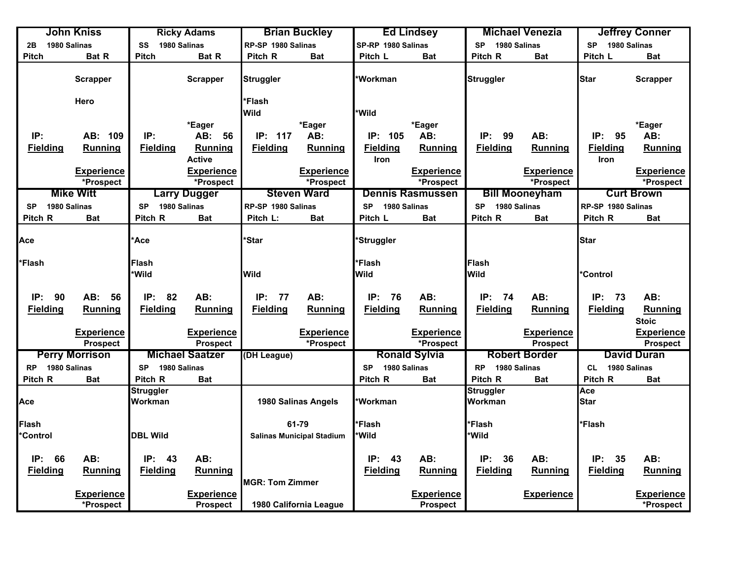| John Kniss                |                       | <b>Ricky Adams</b>        |                        |                        | <b>Brian Buckley</b>             |                           | <b>Ed Lindsey</b>       |                           | <b>Michael Venezia</b> | <b>Jeffrey Conner</b> |                    |
|---------------------------|-----------------------|---------------------------|------------------------|------------------------|----------------------------------|---------------------------|-------------------------|---------------------------|------------------------|-----------------------|--------------------|
| 1980 Salinas<br>2B        |                       | SS                        | 1980 Salinas           | RP-SP 1980 Salinas     |                                  | SP-RP 1980 Salinas        |                         | <b>SP</b><br>1980 Salinas |                        | SP 1980 Salinas       |                    |
| <b>Pitch</b>              | Bat R                 | <b>Pitch</b>              | Bat R                  | Pitch R                | <b>Bat</b>                       | Pitch L                   | <b>Bat</b>              | Pitch R                   | <b>Bat</b>             | Pitch L               | <b>Bat</b>         |
|                           | <b>Scrapper</b>       |                           | <b>Scrapper</b>        | <b>Struggler</b>       |                                  | <b>Workman</b>            |                         | <b>Struggler</b>          |                        | <b>Star</b>           | <b>Scrapper</b>    |
|                           | Hero                  |                           |                        | *Flash                 |                                  |                           |                         |                           |                        |                       |                    |
|                           |                       |                           |                        | Wild                   |                                  | *Wild                     |                         |                           |                        |                       |                    |
|                           |                       |                           | *Eager                 |                        | *Eager                           |                           | *Eager                  |                           |                        |                       | *Eager             |
| IP:                       | AB: 109               | IP:                       | AB:<br>56              | 117<br>IP:             | AB:                              | IP: 105                   | AB:                     | IP:<br>99                 | AB:                    | IP:<br>95             | AB:                |
| <b>Fielding</b>           | <b>Running</b>        | <b>Fielding</b>           | Running                | <b>Fielding</b>        | Running                          | <b>Fielding</b>           | Running                 | <b>Fielding</b>           | <b>Running</b>         | <b>Fielding</b>       | <b>Running</b>     |
|                           |                       |                           | <b>Active</b>          |                        |                                  | <b>Iron</b>               |                         |                           |                        | Iron                  |                    |
|                           | <b>Experience</b>     |                           | <b>Experience</b>      |                        | <b>Experience</b>                |                           | <b>Experience</b>       |                           | <b>Experience</b>      |                       | <b>Experience</b>  |
|                           | *Prospect             |                           | *Prospect              |                        | *Prospect                        |                           | *Prospect               |                           | *Prospect              |                       | *Prospect          |
|                           | <b>Mike Witt</b>      |                           | <b>Larry Dugger</b>    |                        | <b>Steven Ward</b>               |                           | <b>Dennis Rasmussen</b> |                           | <b>Bill Mooneyham</b>  |                       | <b>Curt Brown</b>  |
| 1980 Salinas<br><b>SP</b> |                       | <b>SP</b>                 | 1980 Salinas           | RP-SP 1980 Salinas     |                                  | 1980 Salinas<br><b>SP</b> |                         | <b>SP</b><br>1980 Salinas |                        | RP-SP 1980 Salinas    |                    |
| Pitch R                   | Bat                   | Pitch R                   | <b>Bat</b>             | Pitch L:               | <b>Bat</b>                       | Pitch L                   | <b>Bat</b>              | Pitch R                   | Bat                    | Pitch R               | <b>Bat</b>         |
| Ace                       |                       | Ace                       |                        | *Star                  |                                  | <b>Struggler</b>          |                         |                           |                        | <b>Star</b>           |                    |
| *Flash                    |                       | Flash                     |                        |                        |                                  | <b>*Flash</b>             |                         | Flash                     |                        |                       |                    |
|                           |                       | *Wild                     |                        | <b>Wild</b>            |                                  | <b>Wild</b>               |                         | <b>Wild</b>               |                        | <b>Control</b>        |                    |
|                           |                       |                           |                        |                        |                                  |                           |                         |                           |                        |                       |                    |
| IP:<br>90                 | AB:<br>56             | IP:<br>82                 | AB:                    | IP:<br>77              | AB:                              | IP:<br>76                 | AB:                     | IP:<br>74                 | AB:                    | IP:<br>73             | AB:                |
| <b>Fielding</b>           | <b>Running</b>        | <b>Fielding</b>           | Running                | <b>Fielding</b>        | Running                          | <b>Fielding</b>           | Running                 | <b>Fielding</b>           | Running                | <b>Fielding</b>       | Running            |
|                           |                       |                           |                        |                        |                                  |                           |                         |                           |                        |                       | <b>Stoic</b>       |
|                           | <b>Experience</b>     |                           | <b>Experience</b>      |                        | <b>Experience</b>                |                           | <b>Experience</b>       |                           | <b>Experience</b>      |                       | <b>Experience</b>  |
|                           | <b>Prospect</b>       |                           | <b>Prospect</b>        |                        | *Prospect                        |                           | *Prospect               |                           | Prospect               |                       | <b>Prospect</b>    |
|                           | <b>Perry Morrison</b> |                           | <b>Michael Saatzer</b> | (DH League)            |                                  |                           | <b>Ronald Sylvia</b>    |                           | <b>Robert Border</b>   |                       | <b>David Duran</b> |
| 1980 Salinas<br><b>RP</b> |                       | 1980 Salinas<br><b>SP</b> |                        |                        |                                  | 1980 Salinas<br><b>SP</b> |                         | <b>RP</b><br>1980 Salinas |                        | 1980 Salinas<br>CL    |                    |
| Pitch R                   | Bat                   | Pitch R                   | <b>Bat</b>             |                        |                                  | Pitch R                   | <b>Bat</b>              | Pitch R                   | Bat                    | Pitch R               | <b>Bat</b>         |
|                           |                       | Struggler                 |                        |                        |                                  |                           |                         | <b>Struggler</b>          |                        | Ace                   |                    |
| Ace                       |                       | Workman                   |                        |                        | 1980 Salinas Angels              | <b>Workman</b>            |                         | Workman                   |                        | <b>Star</b>           |                    |
|                           |                       |                           |                        |                        |                                  |                           |                         |                           |                        |                       |                    |
| <b>Flash</b>              |                       |                           |                        |                        | 61-79                            | *Flash                    |                         | *Flash                    |                        | <b>Flash</b>          |                    |
| *Control                  |                       | <b>DBL Wild</b>           |                        |                        | <b>Salinas Municipal Stadium</b> | <b>Wild</b>               |                         | *Wild                     |                        |                       |                    |
|                           |                       |                           |                        |                        |                                  |                           |                         |                           |                        |                       |                    |
| IP:<br>66                 | AB:                   | IP:<br>43                 | AB:                    |                        |                                  | IP: 43                    | AB:                     | IP:<br>36                 | AB:                    | IP:<br>35             | AB:                |
| <b>Fielding</b>           | <b>Running</b>        | <b>Fielding</b>           | <b>Running</b>         |                        |                                  | <b>Fielding</b>           | Running                 | <b>Fielding</b>           | <b>Running</b>         | <b>Fielding</b>       | <b>Running</b>     |
|                           |                       |                           |                        | <b>MGR: Tom Zimmer</b> |                                  |                           |                         |                           |                        |                       |                    |
|                           | <b>Experience</b>     |                           | <b>Experience</b>      |                        |                                  |                           | <b>Experience</b>       |                           | <b>Experience</b>      |                       | <b>Experience</b>  |
|                           | *Prospect             |                           | <b>Prospect</b>        |                        | 1980 California League           |                           | <b>Prospect</b>         |                           |                        |                       | *Prospect          |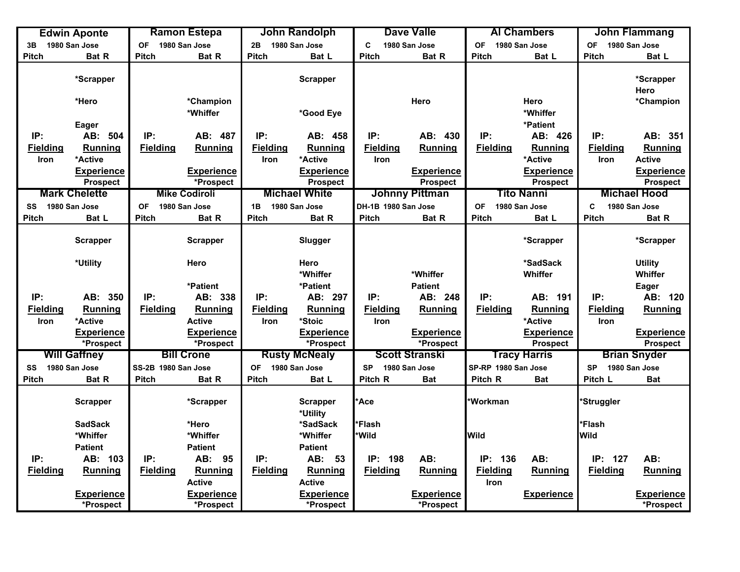| C<br>1980 San Jose<br>1980 San Jose<br><b>OF</b><br>1980 San Jose<br>2B<br>1980 San Jose<br>1980 San Jose<br><b>OF</b><br>1980 San Jose<br><b>OF</b><br>3B<br>Pitch<br>Bat R<br>Pitch<br>Bat R<br><b>Pitch</b><br><b>Pitch</b><br>Bat R<br><b>Pitch</b><br><b>Pitch</b><br>Bat L<br>Bat L<br>Bat L<br>*Scrapper<br>*Scrapper<br><b>Scrapper</b><br>Hero<br>*Hero<br>*Champion<br>Hero<br>Hero<br>*Champion<br>*Whiffer<br>*Whiffer<br>*Good Eye<br>*Patient<br>Eager<br>IP:<br>IP:<br>IP:<br>IP:<br>AB: 430<br>IP:<br>IP:<br>AB: 351<br>AB: 504<br>AB: 487<br>AB: 458<br>AB: 426<br><b>Fielding</b><br><b>Fielding</b><br><b>Fielding</b><br><b>Fielding</b><br><b>Fielding</b><br>Running<br><b>Fielding</b><br>Running<br><b>Running</b><br><b>Running</b><br><b>Running</b><br>Running<br>*Active<br>*Active<br><b>Active</b><br>*Active<br><b>Iron</b><br>Iron<br>Iron<br><b>Iron</b><br><b>Experience</b><br><b>Experience</b><br><b>Experience</b><br><b>Experience</b><br><b>Experience</b><br><b>Experience</b><br><b>Prospect</b><br><b>Prospect</b><br>*Prospect<br><b>Prospect</b><br>Prospect<br><b>Prospect</b><br><b>Mark Chelette</b><br><b>Michael White</b><br><b>Johnny Pittman</b><br><b>Tito Nanni</b><br><b>Michael Hood</b><br><b>Mike Codiroli</b><br>SS 1980 San Jose<br>1980 San Jose<br>1980 San Jose<br>DH-1B 1980 San Jose<br>1980 San Jose<br>1980 San Jose<br>OF<br>1B<br><b>OF</b><br>C<br>Pitch<br><b>Pitch</b><br><b>Pitch</b><br>Bat L<br>Pitch<br>Bat R<br><b>Pitch</b><br>Bat R<br>Bat R<br>Bat L<br><b>Pitch</b><br>Bat R<br><b>Scrapper</b><br><b>Scrapper</b><br>Slugger<br>*Scrapper<br>*Scrapper<br>*SadSack<br>*Utility<br>Hero<br><b>Utility</b><br>Hero<br>*Whiffer<br>Whiffer<br>*Whiffer<br>Whiffer<br>*Patient<br>*Patient<br><b>Patient</b><br>Eager<br>IP:<br>IP:<br>IP:<br>IP:<br>AB: 248<br>IP:<br>AB: 191<br>IP:<br>AB: 120<br>AB: 350<br>AB: 338<br>AB: 297<br><b>Fielding</b><br>Running<br><b>Fielding</b><br>Running<br><b>Fielding</b><br><b>Fielding</b><br><b>Fielding</b><br>Running<br><b>Fielding</b><br><b>Running</b><br><b>Running</b><br>Running<br>*Active<br><b>Active</b><br>Iron<br>*Stoic<br><b>Iron</b><br>*Active<br>Iron<br>Iron<br><b>Experience</b><br><b>Experience</b><br><b>Experience</b><br><b>Experience</b><br><b>Experience</b><br><b>Experience</b><br>*Prospect<br>*Prospect<br>*Prospect<br>Prospect<br>*Prospect<br><b>Prospect</b><br><b>Bill Crone</b><br><b>Scott Stranski</b><br><b>Will Gaffney</b><br><b>Rusty McNealy</b><br><b>Tracy Harris</b><br><b>Brian Snyder</b><br>1980 San Jose<br>SP-RP 1980 San Jose<br>1980 San Jose<br>SS-2B 1980 San Jose<br>OF<br><b>SP</b><br>1980 San Jose<br>1980 San Jose<br>SS<br><b>SP</b><br>Pitch<br>Bat R<br><b>Pitch</b><br><b>Pitch</b><br>Pitch R<br>Pitch R<br>Pitch L<br><b>Bat</b><br>Bat R<br>Bat L<br><b>Bat</b><br><b>Bat</b><br><b>Ace</b><br>*Workman<br><b>Scrapper</b><br>*Scrapper<br><b>Scrapper</b><br>*Struggler<br>*Utility<br>*Flash<br><b>SadSack</b><br>*Hero<br>*Flash<br>*SadSack<br>*Whiffer<br>*Whiffer<br>*Wild<br><b>Wild</b><br>*Whiffer<br><b>Wild</b><br><b>Patient</b><br><b>Patient</b><br><b>Patient</b><br>AB: 103<br>IP:<br>IP:<br>IP: 198<br>AB:<br>IP: 136<br>AB:<br>IP: 127<br>AB:<br>IP:<br>AB: 95<br>AB: 53<br><b>Fielding</b><br><b>Running</b><br>Fielding<br><b>Fielding</b><br><b>Fielding</b><br><b>Fielding</b><br>Running<br>Fielding<br><b>Running</b><br><b>Running</b><br>Running<br>Running<br><b>Active</b><br><b>Active</b><br><b>Iron</b><br><b>Experience</b><br><b>Experience</b><br><b>Experience</b><br><b>Experience</b><br><b>Experience</b><br><b>Experience</b> | <b>Edwin Aponte</b> | <b>Ramon Estepa</b> |           | <b>John Randolph</b> | <b>Dave Valle</b> |  | <b>Al Chambers</b> | John Flammang |           |
|----------------------------------------------------------------------------------------------------------------------------------------------------------------------------------------------------------------------------------------------------------------------------------------------------------------------------------------------------------------------------------------------------------------------------------------------------------------------------------------------------------------------------------------------------------------------------------------------------------------------------------------------------------------------------------------------------------------------------------------------------------------------------------------------------------------------------------------------------------------------------------------------------------------------------------------------------------------------------------------------------------------------------------------------------------------------------------------------------------------------------------------------------------------------------------------------------------------------------------------------------------------------------------------------------------------------------------------------------------------------------------------------------------------------------------------------------------------------------------------------------------------------------------------------------------------------------------------------------------------------------------------------------------------------------------------------------------------------------------------------------------------------------------------------------------------------------------------------------------------------------------------------------------------------------------------------------------------------------------------------------------------------------------------------------------------------------------------------------------------------------------------------------------------------------------------------------------------------------------------------------------------------------------------------------------------------------------------------------------------------------------------------------------------------------------------------------------------------------------------------------------------------------------------------------------------------------------------------------------------------------------------------------------------------------------------------------------------------------------------------------------------------------------------------------------------------------------------------------------------------------------------------------------------------------------------------------------------------------------------------------------------------------------------------------------------------------------------------------------------------------------------------------------------------------------------------------------------------------------------------------------------------------------------------------------------------------------------------------------------------------------------------------------------------------------------------------------------------------------------------------------------------------------------------------------------------------------------------------------------------------------------------------------------------|---------------------|---------------------|-----------|----------------------|-------------------|--|--------------------|---------------|-----------|
|                                                                                                                                                                                                                                                                                                                                                                                                                                                                                                                                                                                                                                                                                                                                                                                                                                                                                                                                                                                                                                                                                                                                                                                                                                                                                                                                                                                                                                                                                                                                                                                                                                                                                                                                                                                                                                                                                                                                                                                                                                                                                                                                                                                                                                                                                                                                                                                                                                                                                                                                                                                                                                                                                                                                                                                                                                                                                                                                                                                                                                                                                                                                                                                                                                                                                                                                                                                                                                                                                                                                                                                                                                                                      |                     |                     |           |                      |                   |  |                    |               |           |
|                                                                                                                                                                                                                                                                                                                                                                                                                                                                                                                                                                                                                                                                                                                                                                                                                                                                                                                                                                                                                                                                                                                                                                                                                                                                                                                                                                                                                                                                                                                                                                                                                                                                                                                                                                                                                                                                                                                                                                                                                                                                                                                                                                                                                                                                                                                                                                                                                                                                                                                                                                                                                                                                                                                                                                                                                                                                                                                                                                                                                                                                                                                                                                                                                                                                                                                                                                                                                                                                                                                                                                                                                                                                      |                     |                     |           |                      |                   |  |                    |               |           |
|                                                                                                                                                                                                                                                                                                                                                                                                                                                                                                                                                                                                                                                                                                                                                                                                                                                                                                                                                                                                                                                                                                                                                                                                                                                                                                                                                                                                                                                                                                                                                                                                                                                                                                                                                                                                                                                                                                                                                                                                                                                                                                                                                                                                                                                                                                                                                                                                                                                                                                                                                                                                                                                                                                                                                                                                                                                                                                                                                                                                                                                                                                                                                                                                                                                                                                                                                                                                                                                                                                                                                                                                                                                                      |                     |                     |           |                      |                   |  |                    |               |           |
|                                                                                                                                                                                                                                                                                                                                                                                                                                                                                                                                                                                                                                                                                                                                                                                                                                                                                                                                                                                                                                                                                                                                                                                                                                                                                                                                                                                                                                                                                                                                                                                                                                                                                                                                                                                                                                                                                                                                                                                                                                                                                                                                                                                                                                                                                                                                                                                                                                                                                                                                                                                                                                                                                                                                                                                                                                                                                                                                                                                                                                                                                                                                                                                                                                                                                                                                                                                                                                                                                                                                                                                                                                                                      |                     |                     |           |                      |                   |  |                    |               |           |
|                                                                                                                                                                                                                                                                                                                                                                                                                                                                                                                                                                                                                                                                                                                                                                                                                                                                                                                                                                                                                                                                                                                                                                                                                                                                                                                                                                                                                                                                                                                                                                                                                                                                                                                                                                                                                                                                                                                                                                                                                                                                                                                                                                                                                                                                                                                                                                                                                                                                                                                                                                                                                                                                                                                                                                                                                                                                                                                                                                                                                                                                                                                                                                                                                                                                                                                                                                                                                                                                                                                                                                                                                                                                      |                     |                     |           |                      |                   |  |                    |               |           |
|                                                                                                                                                                                                                                                                                                                                                                                                                                                                                                                                                                                                                                                                                                                                                                                                                                                                                                                                                                                                                                                                                                                                                                                                                                                                                                                                                                                                                                                                                                                                                                                                                                                                                                                                                                                                                                                                                                                                                                                                                                                                                                                                                                                                                                                                                                                                                                                                                                                                                                                                                                                                                                                                                                                                                                                                                                                                                                                                                                                                                                                                                                                                                                                                                                                                                                                                                                                                                                                                                                                                                                                                                                                                      |                     |                     |           |                      |                   |  |                    |               |           |
|                                                                                                                                                                                                                                                                                                                                                                                                                                                                                                                                                                                                                                                                                                                                                                                                                                                                                                                                                                                                                                                                                                                                                                                                                                                                                                                                                                                                                                                                                                                                                                                                                                                                                                                                                                                                                                                                                                                                                                                                                                                                                                                                                                                                                                                                                                                                                                                                                                                                                                                                                                                                                                                                                                                                                                                                                                                                                                                                                                                                                                                                                                                                                                                                                                                                                                                                                                                                                                                                                                                                                                                                                                                                      |                     |                     |           |                      |                   |  |                    |               |           |
|                                                                                                                                                                                                                                                                                                                                                                                                                                                                                                                                                                                                                                                                                                                                                                                                                                                                                                                                                                                                                                                                                                                                                                                                                                                                                                                                                                                                                                                                                                                                                                                                                                                                                                                                                                                                                                                                                                                                                                                                                                                                                                                                                                                                                                                                                                                                                                                                                                                                                                                                                                                                                                                                                                                                                                                                                                                                                                                                                                                                                                                                                                                                                                                                                                                                                                                                                                                                                                                                                                                                                                                                                                                                      |                     |                     |           |                      |                   |  |                    |               |           |
|                                                                                                                                                                                                                                                                                                                                                                                                                                                                                                                                                                                                                                                                                                                                                                                                                                                                                                                                                                                                                                                                                                                                                                                                                                                                                                                                                                                                                                                                                                                                                                                                                                                                                                                                                                                                                                                                                                                                                                                                                                                                                                                                                                                                                                                                                                                                                                                                                                                                                                                                                                                                                                                                                                                                                                                                                                                                                                                                                                                                                                                                                                                                                                                                                                                                                                                                                                                                                                                                                                                                                                                                                                                                      |                     |                     |           |                      |                   |  |                    |               |           |
|                                                                                                                                                                                                                                                                                                                                                                                                                                                                                                                                                                                                                                                                                                                                                                                                                                                                                                                                                                                                                                                                                                                                                                                                                                                                                                                                                                                                                                                                                                                                                                                                                                                                                                                                                                                                                                                                                                                                                                                                                                                                                                                                                                                                                                                                                                                                                                                                                                                                                                                                                                                                                                                                                                                                                                                                                                                                                                                                                                                                                                                                                                                                                                                                                                                                                                                                                                                                                                                                                                                                                                                                                                                                      |                     |                     |           |                      |                   |  |                    |               |           |
|                                                                                                                                                                                                                                                                                                                                                                                                                                                                                                                                                                                                                                                                                                                                                                                                                                                                                                                                                                                                                                                                                                                                                                                                                                                                                                                                                                                                                                                                                                                                                                                                                                                                                                                                                                                                                                                                                                                                                                                                                                                                                                                                                                                                                                                                                                                                                                                                                                                                                                                                                                                                                                                                                                                                                                                                                                                                                                                                                                                                                                                                                                                                                                                                                                                                                                                                                                                                                                                                                                                                                                                                                                                                      |                     |                     |           |                      |                   |  |                    |               |           |
|                                                                                                                                                                                                                                                                                                                                                                                                                                                                                                                                                                                                                                                                                                                                                                                                                                                                                                                                                                                                                                                                                                                                                                                                                                                                                                                                                                                                                                                                                                                                                                                                                                                                                                                                                                                                                                                                                                                                                                                                                                                                                                                                                                                                                                                                                                                                                                                                                                                                                                                                                                                                                                                                                                                                                                                                                                                                                                                                                                                                                                                                                                                                                                                                                                                                                                                                                                                                                                                                                                                                                                                                                                                                      |                     |                     |           |                      |                   |  |                    |               |           |
|                                                                                                                                                                                                                                                                                                                                                                                                                                                                                                                                                                                                                                                                                                                                                                                                                                                                                                                                                                                                                                                                                                                                                                                                                                                                                                                                                                                                                                                                                                                                                                                                                                                                                                                                                                                                                                                                                                                                                                                                                                                                                                                                                                                                                                                                                                                                                                                                                                                                                                                                                                                                                                                                                                                                                                                                                                                                                                                                                                                                                                                                                                                                                                                                                                                                                                                                                                                                                                                                                                                                                                                                                                                                      |                     |                     |           |                      |                   |  |                    |               |           |
|                                                                                                                                                                                                                                                                                                                                                                                                                                                                                                                                                                                                                                                                                                                                                                                                                                                                                                                                                                                                                                                                                                                                                                                                                                                                                                                                                                                                                                                                                                                                                                                                                                                                                                                                                                                                                                                                                                                                                                                                                                                                                                                                                                                                                                                                                                                                                                                                                                                                                                                                                                                                                                                                                                                                                                                                                                                                                                                                                                                                                                                                                                                                                                                                                                                                                                                                                                                                                                                                                                                                                                                                                                                                      |                     |                     |           |                      |                   |  |                    |               |           |
|                                                                                                                                                                                                                                                                                                                                                                                                                                                                                                                                                                                                                                                                                                                                                                                                                                                                                                                                                                                                                                                                                                                                                                                                                                                                                                                                                                                                                                                                                                                                                                                                                                                                                                                                                                                                                                                                                                                                                                                                                                                                                                                                                                                                                                                                                                                                                                                                                                                                                                                                                                                                                                                                                                                                                                                                                                                                                                                                                                                                                                                                                                                                                                                                                                                                                                                                                                                                                                                                                                                                                                                                                                                                      |                     |                     |           |                      |                   |  |                    |               |           |
|                                                                                                                                                                                                                                                                                                                                                                                                                                                                                                                                                                                                                                                                                                                                                                                                                                                                                                                                                                                                                                                                                                                                                                                                                                                                                                                                                                                                                                                                                                                                                                                                                                                                                                                                                                                                                                                                                                                                                                                                                                                                                                                                                                                                                                                                                                                                                                                                                                                                                                                                                                                                                                                                                                                                                                                                                                                                                                                                                                                                                                                                                                                                                                                                                                                                                                                                                                                                                                                                                                                                                                                                                                                                      |                     |                     |           |                      |                   |  |                    |               |           |
|                                                                                                                                                                                                                                                                                                                                                                                                                                                                                                                                                                                                                                                                                                                                                                                                                                                                                                                                                                                                                                                                                                                                                                                                                                                                                                                                                                                                                                                                                                                                                                                                                                                                                                                                                                                                                                                                                                                                                                                                                                                                                                                                                                                                                                                                                                                                                                                                                                                                                                                                                                                                                                                                                                                                                                                                                                                                                                                                                                                                                                                                                                                                                                                                                                                                                                                                                                                                                                                                                                                                                                                                                                                                      |                     |                     |           |                      |                   |  |                    |               |           |
|                                                                                                                                                                                                                                                                                                                                                                                                                                                                                                                                                                                                                                                                                                                                                                                                                                                                                                                                                                                                                                                                                                                                                                                                                                                                                                                                                                                                                                                                                                                                                                                                                                                                                                                                                                                                                                                                                                                                                                                                                                                                                                                                                                                                                                                                                                                                                                                                                                                                                                                                                                                                                                                                                                                                                                                                                                                                                                                                                                                                                                                                                                                                                                                                                                                                                                                                                                                                                                                                                                                                                                                                                                                                      |                     |                     |           |                      |                   |  |                    |               |           |
|                                                                                                                                                                                                                                                                                                                                                                                                                                                                                                                                                                                                                                                                                                                                                                                                                                                                                                                                                                                                                                                                                                                                                                                                                                                                                                                                                                                                                                                                                                                                                                                                                                                                                                                                                                                                                                                                                                                                                                                                                                                                                                                                                                                                                                                                                                                                                                                                                                                                                                                                                                                                                                                                                                                                                                                                                                                                                                                                                                                                                                                                                                                                                                                                                                                                                                                                                                                                                                                                                                                                                                                                                                                                      |                     |                     |           |                      |                   |  |                    |               |           |
|                                                                                                                                                                                                                                                                                                                                                                                                                                                                                                                                                                                                                                                                                                                                                                                                                                                                                                                                                                                                                                                                                                                                                                                                                                                                                                                                                                                                                                                                                                                                                                                                                                                                                                                                                                                                                                                                                                                                                                                                                                                                                                                                                                                                                                                                                                                                                                                                                                                                                                                                                                                                                                                                                                                                                                                                                                                                                                                                                                                                                                                                                                                                                                                                                                                                                                                                                                                                                                                                                                                                                                                                                                                                      |                     |                     |           |                      |                   |  |                    |               |           |
|                                                                                                                                                                                                                                                                                                                                                                                                                                                                                                                                                                                                                                                                                                                                                                                                                                                                                                                                                                                                                                                                                                                                                                                                                                                                                                                                                                                                                                                                                                                                                                                                                                                                                                                                                                                                                                                                                                                                                                                                                                                                                                                                                                                                                                                                                                                                                                                                                                                                                                                                                                                                                                                                                                                                                                                                                                                                                                                                                                                                                                                                                                                                                                                                                                                                                                                                                                                                                                                                                                                                                                                                                                                                      |                     |                     |           |                      |                   |  |                    |               |           |
|                                                                                                                                                                                                                                                                                                                                                                                                                                                                                                                                                                                                                                                                                                                                                                                                                                                                                                                                                                                                                                                                                                                                                                                                                                                                                                                                                                                                                                                                                                                                                                                                                                                                                                                                                                                                                                                                                                                                                                                                                                                                                                                                                                                                                                                                                                                                                                                                                                                                                                                                                                                                                                                                                                                                                                                                                                                                                                                                                                                                                                                                                                                                                                                                                                                                                                                                                                                                                                                                                                                                                                                                                                                                      |                     |                     |           |                      |                   |  |                    |               |           |
|                                                                                                                                                                                                                                                                                                                                                                                                                                                                                                                                                                                                                                                                                                                                                                                                                                                                                                                                                                                                                                                                                                                                                                                                                                                                                                                                                                                                                                                                                                                                                                                                                                                                                                                                                                                                                                                                                                                                                                                                                                                                                                                                                                                                                                                                                                                                                                                                                                                                                                                                                                                                                                                                                                                                                                                                                                                                                                                                                                                                                                                                                                                                                                                                                                                                                                                                                                                                                                                                                                                                                                                                                                                                      |                     |                     |           |                      |                   |  |                    |               |           |
|                                                                                                                                                                                                                                                                                                                                                                                                                                                                                                                                                                                                                                                                                                                                                                                                                                                                                                                                                                                                                                                                                                                                                                                                                                                                                                                                                                                                                                                                                                                                                                                                                                                                                                                                                                                                                                                                                                                                                                                                                                                                                                                                                                                                                                                                                                                                                                                                                                                                                                                                                                                                                                                                                                                                                                                                                                                                                                                                                                                                                                                                                                                                                                                                                                                                                                                                                                                                                                                                                                                                                                                                                                                                      |                     |                     |           |                      |                   |  |                    |               |           |
|                                                                                                                                                                                                                                                                                                                                                                                                                                                                                                                                                                                                                                                                                                                                                                                                                                                                                                                                                                                                                                                                                                                                                                                                                                                                                                                                                                                                                                                                                                                                                                                                                                                                                                                                                                                                                                                                                                                                                                                                                                                                                                                                                                                                                                                                                                                                                                                                                                                                                                                                                                                                                                                                                                                                                                                                                                                                                                                                                                                                                                                                                                                                                                                                                                                                                                                                                                                                                                                                                                                                                                                                                                                                      |                     |                     |           |                      |                   |  |                    |               |           |
|                                                                                                                                                                                                                                                                                                                                                                                                                                                                                                                                                                                                                                                                                                                                                                                                                                                                                                                                                                                                                                                                                                                                                                                                                                                                                                                                                                                                                                                                                                                                                                                                                                                                                                                                                                                                                                                                                                                                                                                                                                                                                                                                                                                                                                                                                                                                                                                                                                                                                                                                                                                                                                                                                                                                                                                                                                                                                                                                                                                                                                                                                                                                                                                                                                                                                                                                                                                                                                                                                                                                                                                                                                                                      |                     |                     |           |                      |                   |  |                    |               |           |
|                                                                                                                                                                                                                                                                                                                                                                                                                                                                                                                                                                                                                                                                                                                                                                                                                                                                                                                                                                                                                                                                                                                                                                                                                                                                                                                                                                                                                                                                                                                                                                                                                                                                                                                                                                                                                                                                                                                                                                                                                                                                                                                                                                                                                                                                                                                                                                                                                                                                                                                                                                                                                                                                                                                                                                                                                                                                                                                                                                                                                                                                                                                                                                                                                                                                                                                                                                                                                                                                                                                                                                                                                                                                      |                     |                     |           |                      |                   |  |                    |               |           |
|                                                                                                                                                                                                                                                                                                                                                                                                                                                                                                                                                                                                                                                                                                                                                                                                                                                                                                                                                                                                                                                                                                                                                                                                                                                                                                                                                                                                                                                                                                                                                                                                                                                                                                                                                                                                                                                                                                                                                                                                                                                                                                                                                                                                                                                                                                                                                                                                                                                                                                                                                                                                                                                                                                                                                                                                                                                                                                                                                                                                                                                                                                                                                                                                                                                                                                                                                                                                                                                                                                                                                                                                                                                                      |                     |                     |           |                      |                   |  |                    |               |           |
|                                                                                                                                                                                                                                                                                                                                                                                                                                                                                                                                                                                                                                                                                                                                                                                                                                                                                                                                                                                                                                                                                                                                                                                                                                                                                                                                                                                                                                                                                                                                                                                                                                                                                                                                                                                                                                                                                                                                                                                                                                                                                                                                                                                                                                                                                                                                                                                                                                                                                                                                                                                                                                                                                                                                                                                                                                                                                                                                                                                                                                                                                                                                                                                                                                                                                                                                                                                                                                                                                                                                                                                                                                                                      |                     |                     |           |                      |                   |  |                    |               |           |
|                                                                                                                                                                                                                                                                                                                                                                                                                                                                                                                                                                                                                                                                                                                                                                                                                                                                                                                                                                                                                                                                                                                                                                                                                                                                                                                                                                                                                                                                                                                                                                                                                                                                                                                                                                                                                                                                                                                                                                                                                                                                                                                                                                                                                                                                                                                                                                                                                                                                                                                                                                                                                                                                                                                                                                                                                                                                                                                                                                                                                                                                                                                                                                                                                                                                                                                                                                                                                                                                                                                                                                                                                                                                      |                     |                     |           |                      |                   |  |                    |               |           |
|                                                                                                                                                                                                                                                                                                                                                                                                                                                                                                                                                                                                                                                                                                                                                                                                                                                                                                                                                                                                                                                                                                                                                                                                                                                                                                                                                                                                                                                                                                                                                                                                                                                                                                                                                                                                                                                                                                                                                                                                                                                                                                                                                                                                                                                                                                                                                                                                                                                                                                                                                                                                                                                                                                                                                                                                                                                                                                                                                                                                                                                                                                                                                                                                                                                                                                                                                                                                                                                                                                                                                                                                                                                                      |                     |                     |           |                      |                   |  |                    |               |           |
|                                                                                                                                                                                                                                                                                                                                                                                                                                                                                                                                                                                                                                                                                                                                                                                                                                                                                                                                                                                                                                                                                                                                                                                                                                                                                                                                                                                                                                                                                                                                                                                                                                                                                                                                                                                                                                                                                                                                                                                                                                                                                                                                                                                                                                                                                                                                                                                                                                                                                                                                                                                                                                                                                                                                                                                                                                                                                                                                                                                                                                                                                                                                                                                                                                                                                                                                                                                                                                                                                                                                                                                                                                                                      |                     |                     |           |                      |                   |  |                    |               |           |
|                                                                                                                                                                                                                                                                                                                                                                                                                                                                                                                                                                                                                                                                                                                                                                                                                                                                                                                                                                                                                                                                                                                                                                                                                                                                                                                                                                                                                                                                                                                                                                                                                                                                                                                                                                                                                                                                                                                                                                                                                                                                                                                                                                                                                                                                                                                                                                                                                                                                                                                                                                                                                                                                                                                                                                                                                                                                                                                                                                                                                                                                                                                                                                                                                                                                                                                                                                                                                                                                                                                                                                                                                                                                      |                     |                     |           |                      |                   |  |                    |               |           |
|                                                                                                                                                                                                                                                                                                                                                                                                                                                                                                                                                                                                                                                                                                                                                                                                                                                                                                                                                                                                                                                                                                                                                                                                                                                                                                                                                                                                                                                                                                                                                                                                                                                                                                                                                                                                                                                                                                                                                                                                                                                                                                                                                                                                                                                                                                                                                                                                                                                                                                                                                                                                                                                                                                                                                                                                                                                                                                                                                                                                                                                                                                                                                                                                                                                                                                                                                                                                                                                                                                                                                                                                                                                                      | *Prospect           |                     | *Prospect | *Prospect            | *Prospect         |  |                    |               | *Prospect |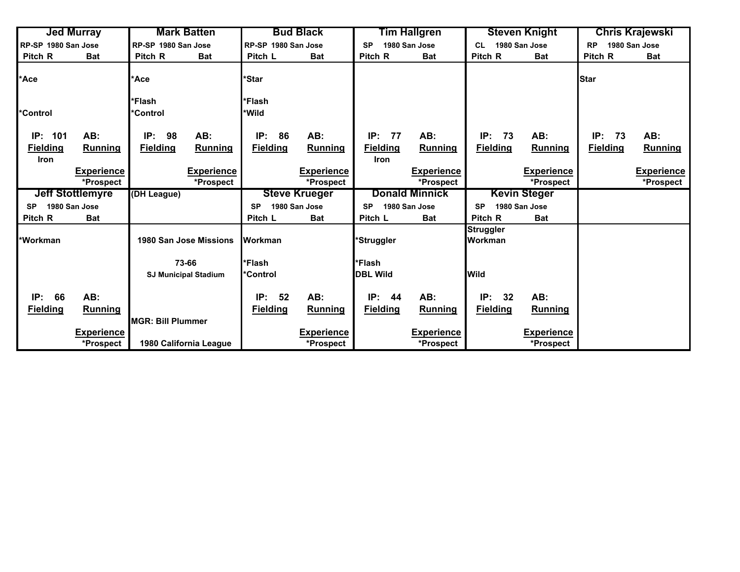|                                        | <b>Jed Murray</b>              |                          | <b>Mark Batten</b>            |                      | <b>Bud Black</b>               |                         | Tim Hallgren      |                             | <b>Steven Knight</b> | Chris Krajewski |                   |
|----------------------------------------|--------------------------------|--------------------------|-------------------------------|----------------------|--------------------------------|-------------------------|-------------------|-----------------------------|----------------------|-----------------|-------------------|
| RP-SP 1980 San Jose                    |                                | RP-SP 1980 San Jose      |                               |                      | RP-SP 1980 San Jose            |                         | 1980 San Jose     | <b>CL</b>                   | 1980 San Jose        | <b>RP</b>       | 1980 San Jose     |
| Pitch R                                | <b>Bat</b>                     | Pitch R                  | <b>Bat</b>                    | Pitch L              | <b>Bat</b>                     | Pitch R                 | <b>Bat</b>        | Pitch R                     | <b>Bat</b>           | Pitch R         | <b>Bat</b>        |
| *Ace                                   |                                | *Ace                     |                               | *Star                |                                |                         |                   |                             |                      | <b>Star</b>     |                   |
|                                        |                                | *Flash                   |                               | *Flash               |                                |                         |                   |                             |                      |                 |                   |
| *Control                               |                                | *Control                 |                               | *Wild                |                                |                         |                   |                             |                      |                 |                   |
| IP: 101                                | AB:                            | IP:<br>98                | AB:                           | IP:<br>86            | AB:                            | IP:<br>77               | AB:               | IP:<br>73                   | AB:                  | IP:<br>73       | AB:               |
| <b>Fielding</b><br><b>Iron</b>         | Running                        | <b>Fielding</b>          | Running                       | <b>Fielding</b>      | Running                        | <b>Fielding</b><br>Iron | Running           | <b>Fielding</b>             | Running              | <b>Fielding</b> | <b>Running</b>    |
|                                        | <b>Experience</b>              |                          | <b>Experience</b>             |                      | <b>Experience</b>              |                         | <b>Experience</b> |                             | <b>Experience</b>    |                 | <b>Experience</b> |
|                                        | *Prospect                      |                          | *Prospect                     |                      | *Prospect                      |                         | *Prospect         |                             | *Prospect            |                 | *Prospect         |
| <b>Jeff Stottlemyre</b><br>(DH League) |                                |                          |                               | <b>Steve Krueger</b> |                                | <b>Donald Minnick</b>   |                   | <b>Kevin Steger</b>         |                      |                 |                   |
| <b>SP</b>                              | 1980 San Jose                  |                          |                               | <b>SP</b>            | 1980 San Jose                  | <b>SP</b>               | 1980 San Jose     | <b>SP</b>                   | 1980 San Jose        |                 |                   |
| Pitch R                                | <b>Bat</b>                     |                          |                               | Pitch L              | <b>Bat</b>                     | Pitch L                 | <b>Bat</b>        | Pitch R                     | <b>Bat</b>           |                 |                   |
| *Workman                               |                                |                          | <b>1980 San Jose Missions</b> | <b>Workman</b>       |                                | 'Struggler              |                   | <b>Struggler</b><br>Workman |                      |                 |                   |
|                                        |                                |                          | 73-66                         | *Flash               |                                | *Flash                  |                   |                             |                      |                 |                   |
|                                        |                                |                          | <b>SJ Municipal Stadium</b>   | *Control             |                                | <b>DBL Wild</b>         |                   | <b>Wild</b>                 |                      |                 |                   |
| 66<br>IP:                              | AB:                            |                          |                               | 52<br>IP:            | AB:                            | IP:<br>44               | AB:               | IP:<br>32                   | AB:                  |                 |                   |
| <b>Fielding</b>                        | <b>Running</b>                 | <b>MGR: Bill Plummer</b> |                               | <b>Fielding</b>      | <b>Running</b>                 | <b>Fielding</b>         | <b>Running</b>    | <b>Fielding</b>             | <b>Running</b>       |                 |                   |
|                                        | <b>Experience</b><br>*Prospect |                          | 1980 California League        |                      | <b>Experience</b><br>*Prospect |                         | <b>Experience</b> |                             | <b>Experience</b>    |                 |                   |
|                                        |                                |                          |                               |                      |                                |                         | *Prospect         |                             | *Prospect            |                 |                   |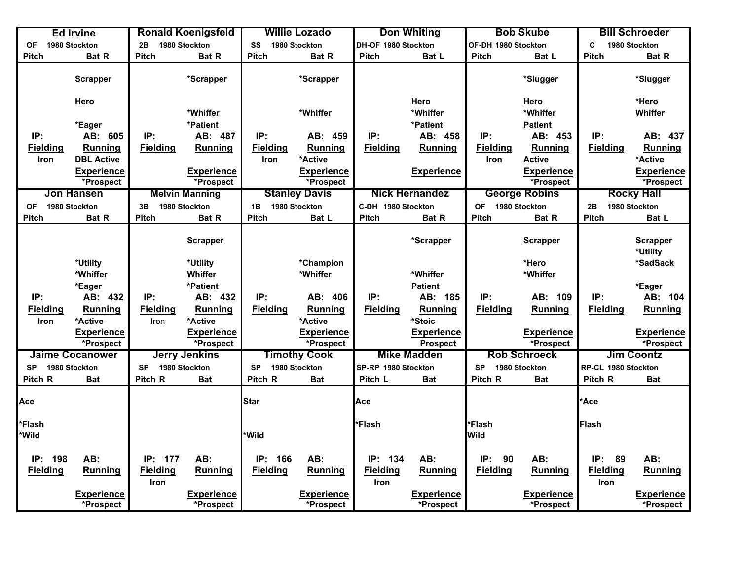|                 | <b>Ed Irvine</b>               | <b>Ronald Koenigsfeld</b> |                                |                 | <b>Willie Lozado</b>           |                     | <b>Don Whiting</b>                   |                     | <b>Bob Skube</b>               |                     |                                                                                                                                                                                                   |  |
|-----------------|--------------------------------|---------------------------|--------------------------------|-----------------|--------------------------------|---------------------|--------------------------------------|---------------------|--------------------------------|---------------------|---------------------------------------------------------------------------------------------------------------------------------------------------------------------------------------------------|--|
| OF              | 1980 Stockton                  | 2B                        | 1980 Stockton                  | SS              | 1980 Stockton                  | DH-OF 1980 Stockton |                                      | OF-DH 1980 Stockton |                                | C                   | <b>Bill Schroeder</b><br>1980 Stockton<br><b>Bat R</b><br>*Slugger<br>*Hero<br>Whiffer<br>IP:<br>Running<br>*Active<br><b>Rocky Hall</b><br>1980 Stockton<br>Bat L<br><b>Scrapper</b><br>*Utility |  |
| <b>Pitch</b>    | Bat R                          | <b>Pitch</b>              | Bat R                          | <b>Pitch</b>    | Bat R                          | <b>Pitch</b>        | Bat L                                | <b>Pitch</b>        | Bat L                          | <b>Pitch</b>        |                                                                                                                                                                                                   |  |
|                 | <b>Scrapper</b>                |                           | *Scrapper                      |                 | *Scrapper                      |                     |                                      |                     | *Slugger                       |                     |                                                                                                                                                                                                   |  |
|                 | Hero                           |                           |                                |                 |                                |                     | Hero                                 |                     | Hero                           |                     |                                                                                                                                                                                                   |  |
|                 |                                |                           | *Whiffer                       |                 | *Whiffer                       |                     | *Whiffer                             |                     | *Whiffer                       |                     |                                                                                                                                                                                                   |  |
|                 | *Eager                         |                           | *Patient                       |                 |                                |                     | *Patient                             |                     | <b>Patient</b>                 |                     |                                                                                                                                                                                                   |  |
| IP:             | AB: 605                        | IP:                       | AB: 487                        | IP:             | AB: 459                        | IP:                 | AB: 458                              | IP:                 | AB: 453                        |                     | AB: 437                                                                                                                                                                                           |  |
| <b>Fielding</b> | Running                        | <b>Fielding</b>           | <b>Running</b>                 | <b>Fielding</b> | <b>Running</b>                 | <b>Fielding</b>     | <b>Running</b>                       | <b>Fielding</b>     | <b>Running</b>                 | <b>Fielding</b>     |                                                                                                                                                                                                   |  |
| Iron            | <b>DBL Active</b>              |                           |                                | Iron            | *Active                        |                     |                                      | <b>Iron</b>         | <b>Active</b>                  |                     |                                                                                                                                                                                                   |  |
|                 | Experience                     |                           | <b>Experience</b>              |                 | Experience                     |                     | <b>Experience</b>                    |                     | <b>Experience</b>              |                     | <b>Experience</b>                                                                                                                                                                                 |  |
|                 | *Prospect                      |                           | *Prospect                      |                 | *Prospect                      |                     |                                      |                     | *Prospect                      |                     | *Prospect                                                                                                                                                                                         |  |
|                 | <b>Jon Hansen</b>              |                           | <b>Melvin Manning</b>          |                 | <b>Stanley Davis</b>           |                     | <b>Nick Hernandez</b>                |                     | <b>George Robins</b>           |                     |                                                                                                                                                                                                   |  |
| ΟF              | 1980 Stockton                  | 3B                        | 1980 Stockton                  | 1B              | 1980 Stockton                  | C-DH 1980 Stockton  |                                      | <b>OF</b>           | 1980 Stockton                  | 2B                  |                                                                                                                                                                                                   |  |
| <b>Pitch</b>    | Bat R                          | <b>Pitch</b>              | Bat R                          | <b>Pitch</b>    | Bat L                          | Pitch               | Bat R                                | <b>Pitch</b>        | <b>Bat R</b>                   | <b>Pitch</b>        |                                                                                                                                                                                                   |  |
|                 |                                |                           | <b>Scrapper</b>                |                 |                                |                     | *Scrapper                            |                     | <b>Scrapper</b>                |                     |                                                                                                                                                                                                   |  |
|                 | *Utility                       |                           | *Utility                       |                 | *Champion                      |                     |                                      |                     | *Hero                          |                     | *SadSack                                                                                                                                                                                          |  |
|                 | *Whiffer                       |                           | Whiffer                        |                 | *Whiffer                       |                     | *Whiffer                             |                     | *Whiffer                       |                     |                                                                                                                                                                                                   |  |
|                 | *Eager                         |                           | *Patient                       |                 |                                |                     | <b>Patient</b>                       |                     |                                |                     | *Eager                                                                                                                                                                                            |  |
| IP:             | AB: 432                        | IP:                       | AB: 432                        | IP:             | AB: 406                        | IP:                 | AB: 185                              | IP:                 | AB: 109                        | IP:                 | AB: 104                                                                                                                                                                                           |  |
| <b>Fielding</b> | Running                        | <b>Fielding</b>           | Running                        | <b>Fielding</b> | Running                        | <b>Fielding</b>     | Running                              | <b>Fielding</b>     | <b>Running</b>                 | <b>Fielding</b>     | <b>Running</b>                                                                                                                                                                                    |  |
| Iron            | *Active                        | Iron                      | *Active                        |                 | *Active                        |                     | *Stoic                               |                     |                                |                     |                                                                                                                                                                                                   |  |
|                 | <b>Experience</b><br>*Prospect |                           | <b>Experience</b><br>*Prospect |                 | <b>Experience</b><br>*Prospect |                     | <b>Experience</b><br><b>Prospect</b> |                     | <b>Experience</b><br>*Prospect |                     | <b>Experience</b><br>*Prospect                                                                                                                                                                    |  |
|                 | Jaime Cocanower                |                           | <b>Jerry Jenkins</b>           |                 | <b>Timothy Cook</b>            |                     | <b>Mike Madden</b>                   |                     | <b>Rob Schroeck</b>            |                     | <b>Jim Coontz</b>                                                                                                                                                                                 |  |
| <b>SP</b>       | 1980 Stockton                  | <b>SP</b>                 | 1980 Stockton                  | <b>SP</b>       | 1980 Stockton                  | SP-RP 1980 Stockton |                                      | <b>SP</b>           | 1980 Stockton                  | RP-CL 1980 Stockton |                                                                                                                                                                                                   |  |
| Pitch R         | <b>Bat</b>                     | Pitch R                   | <b>Bat</b>                     | Pitch R         | <b>Bat</b>                     | Pitch L             | <b>Bat</b>                           | Pitch R             | <b>Bat</b>                     | Pitch R             | <b>Bat</b>                                                                                                                                                                                        |  |
| Ace             |                                |                           |                                | <b>Star</b>     |                                | Ace                 |                                      |                     |                                | *Ace                |                                                                                                                                                                                                   |  |
| *Flash          |                                |                           |                                |                 |                                | *Flash              |                                      | *Flash              |                                | Flash               |                                                                                                                                                                                                   |  |
| *Wild           |                                |                           |                                | *Wild           |                                |                     |                                      | <b>Wild</b>         |                                |                     |                                                                                                                                                                                                   |  |
| IP:<br>198      | AB:                            | IP: 177                   | AB:                            | IP:<br>166      | AB:                            | IP: 134             | AB:                                  | IP:<br>90           | AB:                            | IP:<br>89           | AB:                                                                                                                                                                                               |  |
| <b>Fielding</b> | <b>Running</b>                 | <b>Fielding</b>           | Running                        | <b>Fielding</b> | <b>Running</b>                 | Fielding            | Running                              | <b>Fielding</b>     | Running                        | <b>Fielding</b>     | <b>Running</b>                                                                                                                                                                                    |  |
|                 |                                | Iron                      |                                |                 |                                | Iron                |                                      |                     |                                | Iron                |                                                                                                                                                                                                   |  |
|                 | <b>Experience</b><br>*Prospect |                           | <b>Experience</b><br>*Prospect |                 | <b>Experience</b><br>*Prospect |                     | <b>Experience</b><br>*Prospect       |                     | <b>Experience</b><br>*Prospect |                     | <b>Experience</b><br>*Prospect                                                                                                                                                                    |  |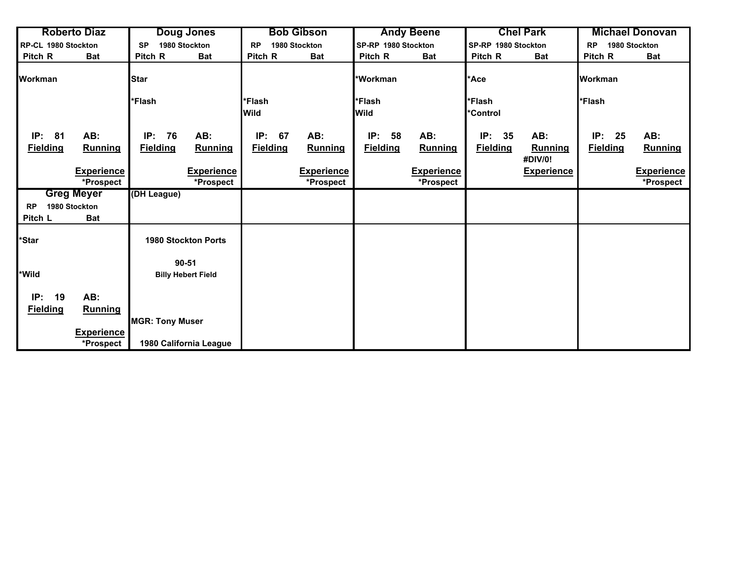| <b>Roberto Diaz</b>                                   | <b>Doug Jones</b>                              | <b>Bob Gibson</b>                                     | <b>Andy Beene</b>                                     | <b>Chel Park</b>                                                 | <b>Michael Donovan</b>                                |
|-------------------------------------------------------|------------------------------------------------|-------------------------------------------------------|-------------------------------------------------------|------------------------------------------------------------------|-------------------------------------------------------|
| RP-CL 1980 Stockton                                   | 1980 Stockton<br><b>SP</b>                     | 1980 Stockton<br><b>RP</b>                            | SP-RP 1980 Stockton                                   | SP-RP 1980 Stockton                                              | 1980 Stockton<br><b>RP</b>                            |
| Pitch R<br><b>Bat</b>                                 | Pitch R<br><b>Bat</b>                          | Pitch R<br><b>Bat</b>                                 | Pitch R<br><b>Bat</b>                                 | Pitch R<br><b>Bat</b>                                            | Pitch R<br><b>Bat</b>                                 |
| <b>Workman</b>                                        | <b>Star</b>                                    |                                                       | *Workman                                              | *Ace                                                             | <b>Workman</b>                                        |
|                                                       | *Flash                                         | *Flash                                                | *Flash                                                | *Flash                                                           | *Flash                                                |
|                                                       |                                                | <b>Wild</b>                                           | <b>Wild</b>                                           | *Control                                                         |                                                       |
| 81<br>AB:<br>IP:<br><b>Fielding</b><br><b>Running</b> | IP:<br>76<br>AB:<br><b>Fielding</b><br>Running | IP:<br>67<br>AB:<br><b>Fielding</b><br><b>Running</b> | IP:<br>58<br>AB:<br><b>Fielding</b><br><b>Running</b> | IP:<br>35<br>AB:<br><b>Fielding</b><br><b>Running</b><br>#DIV/0! | IP:<br>25<br>AB:<br><b>Fielding</b><br><b>Running</b> |
| <b>Experience</b>                                     | <b>Experience</b>                              | <b>Experience</b>                                     | <b>Experience</b>                                     | <b>Experience</b>                                                | <b>Experience</b>                                     |
| *Prospect                                             | *Prospect                                      | *Prospect                                             | *Prospect                                             |                                                                  | *Prospect                                             |
| <b>Greg Meyer</b>                                     | (DH League)                                    |                                                       |                                                       |                                                                  |                                                       |
| 1980 Stockton<br><b>RP</b>                            |                                                |                                                       |                                                       |                                                                  |                                                       |
| Pitch L<br><b>Bat</b>                                 |                                                |                                                       |                                                       |                                                                  |                                                       |
| *Star                                                 | <b>1980 Stockton Ports</b>                     |                                                       |                                                       |                                                                  |                                                       |
|                                                       | $90 - 51$                                      |                                                       |                                                       |                                                                  |                                                       |
| *Wild                                                 | <b>Billy Hebert Field</b>                      |                                                       |                                                       |                                                                  |                                                       |
| IP:<br>19<br>AB:                                      |                                                |                                                       |                                                       |                                                                  |                                                       |
| <b>Fielding</b><br><b>Running</b>                     | <b>MGR: Tony Muser</b>                         |                                                       |                                                       |                                                                  |                                                       |
| <b>Experience</b>                                     |                                                |                                                       |                                                       |                                                                  |                                                       |
| *Prospect                                             | 1980 California League                         |                                                       |                                                       |                                                                  |                                                       |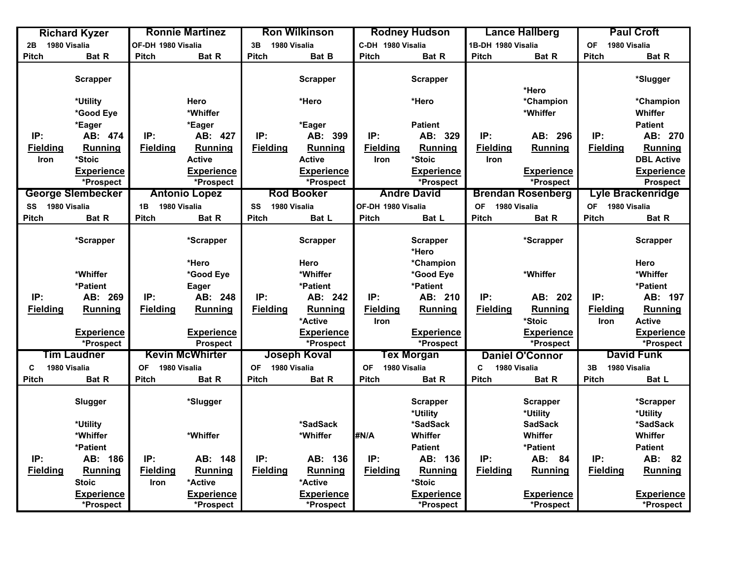|                    | <b>Richard Kyzer</b>     | <b>Ronnie Martinez</b>    |                        |                           | <b>Ron Wilkinson</b> |                           | <b>Rodney Hudson</b> |                           | <b>Lance Hallberg</b>    | <b>Paul Croft</b>         |                   |
|--------------------|--------------------------|---------------------------|------------------------|---------------------------|----------------------|---------------------------|----------------------|---------------------------|--------------------------|---------------------------|-------------------|
| 1980 Visalia<br>2В |                          | OF-DH 1980 Visalia        |                        | 1980 Visalia<br>3B        |                      | C-DH 1980 Visalia         |                      | 1B-DH 1980 Visalia        |                          | <b>OF</b><br>1980 Visalia |                   |
| <b>Pitch</b>       | Bat R                    | <b>Pitch</b>              | Bat R                  | <b>Pitch</b>              | Bat B                | <b>Pitch</b>              | Bat R                | <b>Pitch</b>              | Bat R                    | <b>Pitch</b>              | Bat R             |
|                    |                          |                           |                        |                           |                      |                           |                      |                           |                          |                           |                   |
|                    | <b>Scrapper</b>          |                           |                        |                           | <b>Scrapper</b>      |                           | <b>Scrapper</b>      |                           |                          |                           | *Slugger          |
|                    |                          |                           |                        |                           |                      |                           |                      |                           | *Hero                    |                           |                   |
|                    | *Utility                 |                           | Hero                   |                           | *Hero                |                           | *Hero                |                           | *Champion                |                           | *Champion         |
|                    | *Good Eye                |                           | *Whiffer               |                           |                      |                           |                      |                           | *Whiffer                 |                           | Whiffer           |
|                    | *Eager                   |                           | *Eager                 |                           | *Eager               |                           | <b>Patient</b>       |                           |                          |                           | <b>Patient</b>    |
| IP:                | AB: 474                  | IP:                       | AB: 427                | IP:                       | AB: 399              | IP:                       | AB: 329              | IP:                       | AB: 296                  | IP:                       | AB: 270           |
| <b>Fielding</b>    | <b>Running</b>           | <b>Fielding</b>           | Running                | <b>Fielding</b>           | Running              | <b>Fielding</b>           | Running              | <b>Fielding</b>           | Running                  | <b>Fielding</b>           | <b>Running</b>    |
| Iron               | *Stoic                   |                           | <b>Active</b>          |                           | <b>Active</b>        | Iron                      | *Stoic               | <b>Iron</b>               |                          |                           | <b>DBL Active</b> |
|                    | <b>Experience</b>        |                           | <b>Experience</b>      |                           | <b>Experience</b>    |                           | <b>Experience</b>    |                           | <b>Experience</b>        |                           | <b>Experience</b> |
|                    | *Prospect                |                           | *Prospect              |                           | *Prospect            |                           | *Prospect            |                           | *Prospect                |                           | <b>Prospect</b>   |
|                    | <b>George Slembecker</b> |                           | <b>Antonio Lopez</b>   |                           | <b>Rod Booker</b>    |                           | <b>Andre David</b>   |                           | <b>Brendan Rosenberg</b> |                           | Lyle Brackenridge |
| 1980 Visalia<br>SS |                          | 1980 Visalia<br>1B        |                        | SS<br>1980 Visalia        |                      | OF-DH 1980 Visalia        |                      | <b>OF</b><br>1980 Visalia |                          | 1980 Visalia<br><b>OF</b> |                   |
| <b>Pitch</b>       | Bat R                    | <b>Pitch</b>              | Bat R                  | <b>Pitch</b>              | Bat L                | Pitch                     | Bat L                | <b>Pitch</b>              | Bat R                    | <b>Pitch</b>              | Bat R             |
|                    |                          |                           |                        |                           |                      |                           |                      |                           |                          |                           |                   |
|                    | *Scrapper                |                           | *Scrapper              |                           | <b>Scrapper</b>      |                           | <b>Scrapper</b>      |                           | *Scrapper                |                           | <b>Scrapper</b>   |
|                    |                          |                           |                        |                           |                      |                           | *Hero                |                           |                          |                           |                   |
|                    |                          |                           | *Hero                  |                           | Hero                 |                           | *Champion            |                           |                          |                           | Hero              |
|                    | *Whiffer                 |                           | *Good Eye              |                           | *Whiffer             |                           | *Good Eye            |                           | *Whiffer                 |                           | *Whiffer          |
|                    | *Patient                 |                           | Eager                  |                           | *Patient             |                           | *Patient             |                           |                          |                           | *Patient          |
| IP:                | AB: 269                  | IP:                       | AB: 248                | IP:                       | AB: 242              | IP:                       | AB: 210              | IP:                       | AB: 202                  | IP:                       | AB: 197           |
| <b>Fielding</b>    | <b>Running</b>           | <b>Fielding</b>           | <b>Running</b>         | <b>Fielding</b>           | <b>Running</b>       | <b>Fielding</b>           | <b>Running</b>       | <b>Fielding</b>           | Running                  | <b>Fielding</b>           | <b>Running</b>    |
|                    |                          |                           |                        |                           | *Active              | <b>Iron</b>               |                      |                           | *Stoic                   | Iron                      | <b>Active</b>     |
|                    | <b>Experience</b>        |                           | <b>Experience</b>      |                           | <b>Experience</b>    |                           | <b>Experience</b>    |                           | <b>Experience</b>        |                           | <b>Experience</b> |
|                    | *Prospect                |                           | <b>Prospect</b>        |                           | *Prospect            |                           | *Prospect            |                           | *Prospect                |                           | *Prospect         |
|                    | Tim Laudner              |                           | <b>Kevin McWhirter</b> |                           | <b>Joseph Koval</b>  |                           | Tex Morgan           |                           | <b>Daniel O'Connor</b>   |                           | <b>David Funk</b> |
| 1980 Visalia<br>C  |                          | 1980 Visalia<br><b>OF</b> |                        | 1980 Visalia<br><b>OF</b> |                      | 1980 Visalia<br><b>OF</b> |                      | C<br>1980 Visalia         |                          | 1980 Visalia<br>3B        |                   |
| <b>Pitch</b>       | Bat R                    | Pitch                     | Bat R                  | Pitch                     | <b>Bat R</b>         | <b>Pitch</b>              | Bat R                | <b>Pitch</b>              | Bat R                    | Pitch                     | Bat L             |
|                    |                          |                           |                        |                           |                      |                           |                      |                           |                          |                           |                   |
|                    | Slugger                  |                           | *Slugger               |                           |                      |                           | <b>Scrapper</b>      |                           | <b>Scrapper</b>          |                           | *Scrapper         |
|                    |                          |                           |                        |                           |                      |                           | *Utility             |                           | *Utility                 |                           | *Utility          |
|                    | *Utility                 |                           |                        |                           | *SadSack             |                           | *SadSack             |                           | <b>SadSack</b>           |                           | *SadSack          |
|                    | *Whiffer                 |                           | *Whiffer               |                           | *Whiffer             | #N/A                      | Whiffer              |                           | Whiffer                  |                           | Whiffer           |
|                    | *Patient                 |                           |                        |                           |                      |                           | <b>Patient</b>       |                           | *Patient                 |                           | <b>Patient</b>    |
| IP:                | AB: 186                  | IP:                       | AB: 148                | IP:                       | AB: 136              | IP:                       | AB: 136              | IP:                       | AB: 84                   | IP:                       | AB: 82            |
| <b>Fielding</b>    | <b>Running</b>           | <b>Fielding</b>           | <b>Running</b>         | <b>Fielding</b>           | Running              | <b>Fielding</b>           | Running              | <b>Fielding</b>           | Running                  | <b>Fielding</b>           | <b>Running</b>    |
|                    | <b>Stoic</b>             | Iron                      | *Active                |                           | *Active              |                           | *Stoic               |                           |                          |                           |                   |
|                    | <b>Experience</b>        |                           | <b>Experience</b>      |                           | <b>Experience</b>    |                           | <b>Experience</b>    |                           | <b>Experience</b>        |                           | <b>Experience</b> |
|                    | *Prospect                |                           | *Prospect              |                           | *Prospect            |                           | *Prospect            |                           | *Prospect                |                           | *Prospect         |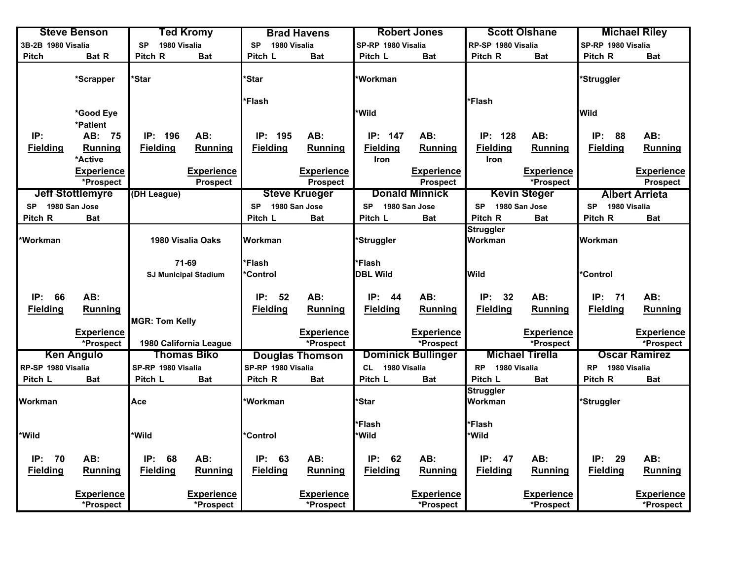| <b>Steve Benson</b> |                         | Ted Kromy                   |                        |                           | <b>Brad Havens</b>     |                           | <b>Robert Jones</b>       |                      | <b>Scott Olshane</b>   | <b>Michael Riley</b>      |                       |
|---------------------|-------------------------|-----------------------------|------------------------|---------------------------|------------------------|---------------------------|---------------------------|----------------------|------------------------|---------------------------|-----------------------|
| 3B-2B 1980 Visalia  |                         | 1980 Visalia<br><b>SP</b>   |                        | 1980 Visalia<br><b>SP</b> |                        | SP-RP 1980 Visalia        |                           | RP-SP 1980 Visalia   |                        | SP-RP 1980 Visalia        |                       |
| <b>Pitch</b>        | <b>Bat R</b>            | Pitch R                     | <b>Bat</b>             | Pitch L                   | <b>Bat</b>             | Pitch L                   | <b>Bat</b>                | Pitch R              | <b>Bat</b>             | Pitch R                   | <b>Bat</b>            |
|                     | *Scrapper               | <b>Star</b>                 |                        | *Star                     |                        | *Workman                  |                           |                      |                        | <b>ٔStruggler</b>         |                       |
|                     |                         |                             |                        | *Flash                    |                        |                           |                           | *Flash               |                        |                           |                       |
|                     | *Good Eye               |                             |                        |                           |                        | *Wild                     |                           |                      |                        | <b>Wild</b>               |                       |
|                     | *Patient                |                             |                        |                           |                        |                           |                           |                      |                        |                           |                       |
| IP:                 | AB: 75                  | IP: 196                     | AB:                    | IP: 195                   | AB:                    | IP: 147                   | AB:                       | IP: 128              | AB:                    | IP:<br>88                 | AB:                   |
| <b>Fielding</b>     | Running                 | <b>Fielding</b>             | <b>Running</b>         | <b>Fielding</b>           | Running                | <b>Fielding</b>           | <b>Running</b>            | <b>Fielding</b>      | Running                | <b>Fielding</b>           | Running               |
|                     | *Active                 |                             |                        |                           |                        | Iron                      |                           | <b>Iron</b>          |                        |                           |                       |
|                     | <b>Experience</b>       |                             | <b>Experience</b>      |                           | <b>Experience</b>      |                           | <b>Experience</b>         |                      | <b>Experience</b>      |                           | <b>Experience</b>     |
|                     | *Prospect               |                             | <b>Prospect</b>        |                           | <b>Prospect</b>        |                           | <b>Prospect</b>           |                      | *Prospect              |                           | <b>Prospect</b>       |
|                     | <b>Jeff Stottlemyre</b> | (DH League)                 |                        |                           | <b>Steve Krueger</b>   |                           | <b>Donald Minnick</b>     |                      | <b>Kevin Steger</b>    |                           | <b>Albert Arrieta</b> |
| SP 1980 San Jose    |                         |                             |                        | <b>SP</b>                 | 1980 San Jose          | SP 1980 San Jose          |                           | SP 1980 San Jose     |                        | <b>SP</b><br>1980 Visalia |                       |
| Pitch R             | <b>Bat</b>              |                             |                        | Pitch L                   | <b>Bat</b>             | Pitch L                   | <b>Bat</b>                | Pitch R              | <b>Bat</b>             | Pitch R                   | <b>Bat</b>            |
|                     |                         |                             |                        |                           |                        |                           |                           | <b>Struggler</b>     |                        |                           |                       |
| *Workman            | 1980 Visalia Oaks       |                             | Workman                |                           | 'Struggler             |                           | Workman                   |                      | Workman                |                           |                       |
|                     |                         |                             |                        |                           |                        |                           |                           |                      |                        |                           |                       |
|                     |                         | 71-69                       |                        | *Flash                    |                        | *Flash                    |                           |                      |                        |                           |                       |
|                     |                         | <b>SJ Municipal Stadium</b> |                        | *Control                  |                        | <b>DBL Wild</b>           |                           | <b>Wild</b>          |                        | *Control                  |                       |
|                     |                         |                             |                        |                           |                        |                           |                           |                      |                        |                           |                       |
| IP:<br>66           | AB:                     |                             |                        | IP: 52                    | AB:                    | IP: 44                    | AB:                       | IP:<br>32            | AB:                    | IP:<br>71                 | AB:                   |
| <b>Fielding</b>     | Running                 |                             |                        | <b>Fielding</b>           | Running                | <b>Fielding</b>           | Running                   | <b>Fielding</b>      | Running                | <b>Fielding</b>           | <b>Running</b>        |
|                     |                         | <b>MGR: Tom Kelly</b>       |                        |                           |                        |                           |                           |                      |                        |                           |                       |
|                     | <b>Experience</b>       |                             |                        |                           | <b>Experience</b>      |                           | <b>Experience</b>         |                      | <b>Experience</b>      |                           | <b>Experience</b>     |
|                     | *Prospect               |                             | 1980 California League |                           | *Prospect              |                           | *Prospect                 |                      | *Prospect              |                           | *Prospect             |
|                     | <b>Ken Angulo</b>       |                             | <b>Thomas Biko</b>     |                           | <b>Douglas Thomson</b> |                           | <b>Dominick Bullinger</b> |                      | <b>Michael Tirella</b> |                           | <b>Oscar Ramirez</b>  |
| RP-SP 1980 Visalia  |                         | SP-RP 1980 Visalia          |                        | SP-RP 1980 Visalia        |                        | 1980 Visalia<br><b>CL</b> |                           | RP 1980 Visalia      |                        | 1980 Visalia<br><b>RP</b> |                       |
| Pitch L             | Bat                     | Pitch L                     | <b>Bat</b>             | Pitch R                   | <b>Bat</b>             | Pitch L                   | <b>Bat</b>                | Pitch L              | <b>Bat</b>             | Pitch R                   | <b>Bat</b>            |
| Workman             |                         | Ace                         |                        | *Workman                  |                        | *Star                     |                           | Struggler<br>Workman |                        | *Struggler                |                       |
|                     |                         |                             |                        |                           |                        | *Flash                    |                           | *Flash               |                        |                           |                       |
| *Wild               |                         | <b>Wild</b>                 |                        | *Control                  |                        | *Wild                     |                           | *Wild                |                        |                           |                       |
|                     |                         |                             |                        |                           |                        |                           |                           |                      |                        |                           |                       |
| IP:<br>70           | AB:                     | IP:<br>68                   | AB:                    | IP:<br>63                 | AB:                    | IP:<br>62                 | AB:                       | IP:<br>47            | AB:                    | IP:<br>29                 | AB:                   |
| <b>Fielding</b>     | Running                 | <b>Fielding</b>             | <b>Running</b>         | <b>Fielding</b>           | Running                | <b>Fielding</b>           | <b>Running</b>            | <b>Fielding</b>      | Running                | <b>Fielding</b>           | Running               |
|                     |                         |                             |                        |                           |                        |                           |                           |                      |                        |                           |                       |
|                     | <b>Experience</b>       |                             | <b>Experience</b>      |                           | <b>Experience</b>      |                           | <b>Experience</b>         |                      | <b>Experience</b>      |                           | <b>Experience</b>     |
|                     | *Prospect               |                             | *Prospect              |                           | *Prospect              |                           | *Prospect                 |                      | *Prospect              |                           | *Prospect             |